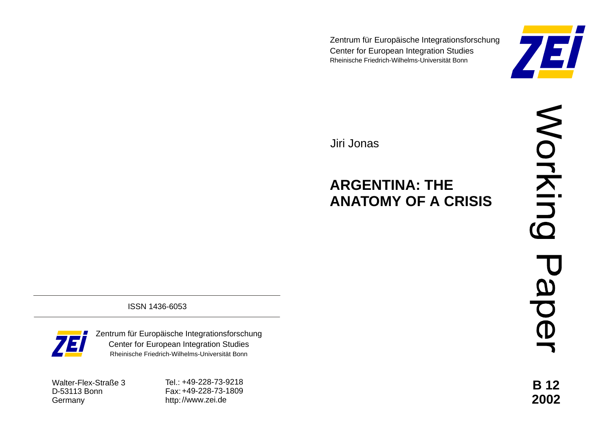Zentrum für Europäische Integrationsforschung Center for European Integration Studies Rheinische Friedrich-Wilhelms-Universität Bonn



Jiri Jonas

# **ARGENTINA: THE ANATOMY OF A CRISIS**

**B 12 2002**

ISSN 1436-6053



Zentrum für Europäische Integrationsforschung Center for European Integration Studies Rheinische Friedrich-Wilhelms-Universität Bonn

Walter-Flex-Straße 3 D-53113 Bonn **Germany** 

Tel.: +49-228-73-9218 Fax: +49-228-73-1809 http: //www.zei.de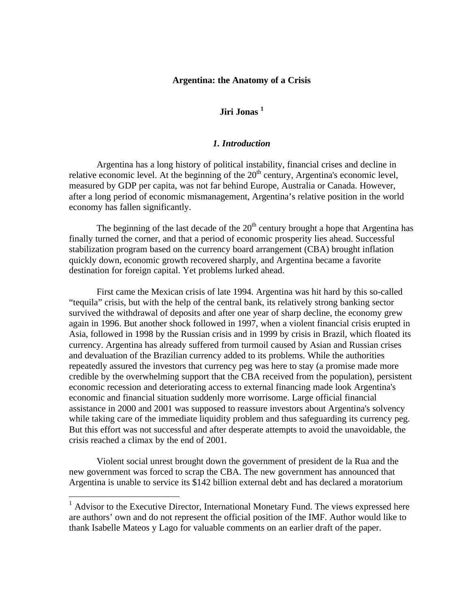#### **Argentina: the Anatomy of a Crisis**

# **Jiri Jonas <sup>1</sup>**

### *1. Introduction*

Argentina has a long history of political instability, financial crises and decline in relative economic level. At the beginning of the  $20<sup>th</sup>$  century, Argentina's economic level, measured by GDP per capita, was not far behind Europe, Australia or Canada. However, after a long period of economic mismanagement, Argentina's relative position in the world economy has fallen significantly.

The beginning of the last decade of the  $20<sup>th</sup>$  century brought a hope that Argentina has finally turned the corner, and that a period of economic prosperity lies ahead. Successful stabilization program based on the currency board arrangement (CBA) brought inflation quickly down, economic growth recovered sharply, and Argentina became a favorite destination for foreign capital. Yet problems lurked ahead.

First came the Mexican crisis of late 1994. Argentina was hit hard by this so-called "tequila" crisis, but with the help of the central bank, its relatively strong banking sector survived the withdrawal of deposits and after one year of sharp decline, the economy grew again in 1996. But another shock followed in 1997, when a violent financial crisis erupted in Asia, followed in 1998 by the Russian crisis and in 1999 by crisis in Brazil, which floated its currency. Argentina has already suffered from turmoil caused by Asian and Russian crises and devaluation of the Brazilian currency added to its problems. While the authorities repeatedly assured the investors that currency peg was here to stay (a promise made more credible by the overwhelming support that the CBA received from the population), persistent economic recession and deteriorating access to external financing made look Argentina's economic and financial situation suddenly more worrisome. Large official financial assistance in 2000 and 2001 was supposed to reassure investors about Argentina's solvency while taking care of the immediate liquidity problem and thus safeguarding its currency peg. But this effort was not successful and after desperate attempts to avoid the unavoidable, the crisis reached a climax by the end of 2001.

Violent social unrest brought down the government of president de la Rua and the new government was forced to scrap the CBA. The new government has announced that Argentina is unable to service its \$142 billion external debt and has declared a moratorium

<sup>&</sup>lt;sup>1</sup> Advisor to the Executive Director, International Monetary Fund. The views expressed here are authors' own and do not represent the official position of the IMF. Author would like to thank Isabelle Mateos y Lago for valuable comments on an earlier draft of the paper.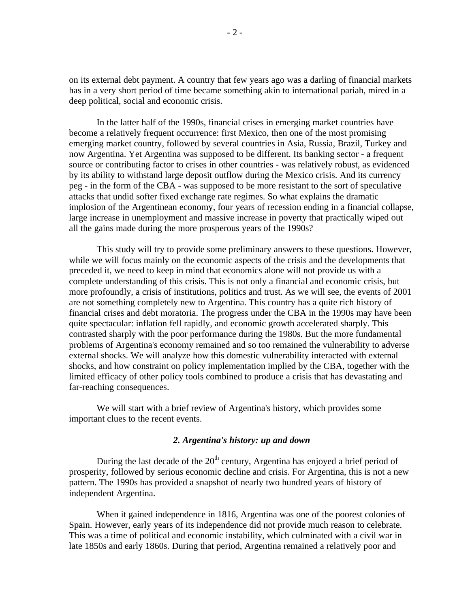on its external debt payment. A country that few years ago was a darling of financial markets has in a very short period of time became something akin to international pariah, mired in a deep political, social and economic crisis.

In the latter half of the 1990s, financial crises in emerging market countries have become a relatively frequent occurrence: first Mexico, then one of the most promising emerging market country, followed by several countries in Asia, Russia, Brazil, Turkey and now Argentina. Yet Argentina was supposed to be different. Its banking sector - a frequent source or contributing factor to crises in other countries - was relatively robust, as evidenced by its ability to withstand large deposit outflow during the Mexico crisis. And its currency peg - in the form of the CBA - was supposed to be more resistant to the sort of speculative attacks that undid softer fixed exchange rate regimes. So what explains the dramatic implosion of the Argentinean economy, four years of recession ending in a financial collapse, large increase in unemployment and massive increase in poverty that practically wiped out all the gains made during the more prosperous years of the 1990s?

This study will try to provide some preliminary answers to these questions. However, while we will focus mainly on the economic aspects of the crisis and the developments that preceded it, we need to keep in mind that economics alone will not provide us with a complete understanding of this crisis. This is not only a financial and economic crisis, but more profoundly, a crisis of institutions, politics and trust. As we will see, the events of 2001 are not something completely new to Argentina. This country has a quite rich history of financial crises and debt moratoria. The progress under the CBA in the 1990s may have been quite spectacular: inflation fell rapidly, and economic growth accelerated sharply. This contrasted sharply with the poor performance during the 1980s. But the more fundamental problems of Argentina's economy remained and so too remained the vulnerability to adverse external shocks. We will analyze how this domestic vulnerability interacted with external shocks, and how constraint on policy implementation implied by the CBA, together with the limited efficacy of other policy tools combined to produce a crisis that has devastating and far-reaching consequences.

We will start with a brief review of Argentina's history, which provides some important clues to the recent events.

#### *2. Argentina's history: up and down*

During the last decade of the  $20<sup>th</sup>$  century, Argentina has enjoyed a brief period of prosperity, followed by serious economic decline and crisis. For Argentina, this is not a new pattern. The 1990s has provided a snapshot of nearly two hundred years of history of independent Argentina.

When it gained independence in 1816, Argentina was one of the poorest colonies of Spain. However, early years of its independence did not provide much reason to celebrate. This was a time of political and economic instability, which culminated with a civil war in late 1850s and early 1860s. During that period, Argentina remained a relatively poor and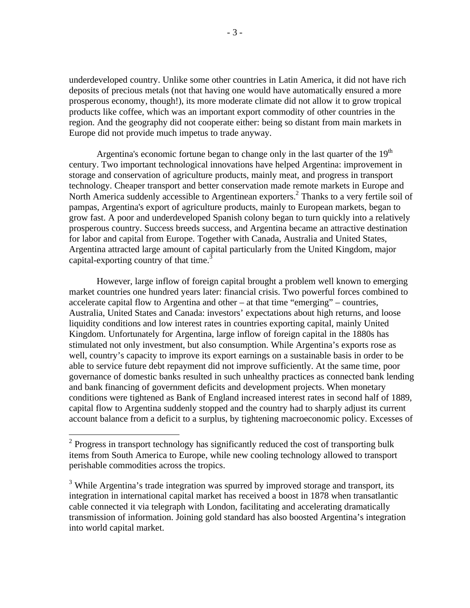underdeveloped country. Unlike some other countries in Latin America, it did not have rich deposits of precious metals (not that having one would have automatically ensured a more prosperous economy, though!), its more moderate climate did not allow it to grow tropical products like coffee, which was an important export commodity of other countries in the region. And the geography did not cooperate either: being so distant from main markets in Europe did not provide much impetus to trade anyway.

Argentina's economic fortune began to change only in the last quarter of the  $19<sup>th</sup>$ century. Two important technological innovations have helped Argentina: improvement in storage and conservation of agriculture products, mainly meat, and progress in transport technology. Cheaper transport and better conservation made remote markets in Europe and North America suddenly accessible to Argentinean exporters.<sup>2</sup> Thanks to a very fertile soil of pampas, Argentina's export of agriculture products, mainly to European markets, began to grow fast. A poor and underdeveloped Spanish colony began to turn quickly into a relatively prosperous country. Success breeds success, and Argentina became an attractive destination for labor and capital from Europe. Together with Canada, Australia and United States, Argentina attracted large amount of capital particularly from the United Kingdom, major capital-exporting country of that time.<sup>3</sup>

However, large inflow of foreign capital brought a problem well known to emerging market countries one hundred years later: financial crisis. Two powerful forces combined to accelerate capital flow to Argentina and other – at that time "emerging" – countries, Australia, United States and Canada: investors' expectations about high returns, and loose liquidity conditions and low interest rates in countries exporting capital, mainly United Kingdom. Unfortunately for Argentina, large inflow of foreign capital in the 1880s has stimulated not only investment, but also consumption. While Argentina's exports rose as well, country's capacity to improve its export earnings on a sustainable basis in order to be able to service future debt repayment did not improve sufficiently. At the same time, poor governance of domestic banks resulted in such unhealthy practices as connected bank lending and bank financing of government deficits and development projects. When monetary conditions were tightened as Bank of England increased interest rates in second half of 1889, capital flow to Argentina suddenly stopped and the country had to sharply adjust its current account balance from a deficit to a surplus, by tightening macroeconomic policy. Excesses of

 $2$  Progress in transport technology has significantly reduced the cost of transporting bulk items from South America to Europe, while new cooling technology allowed to transport perishable commodities across the tropics.

 $3$  While Argentina's trade integration was spurred by improved storage and transport, its integration in international capital market has received a boost in 1878 when transatlantic cable connected it via telegraph with London, facilitating and accelerating dramatically transmission of information. Joining gold standard has also boosted Argentina's integration into world capital market.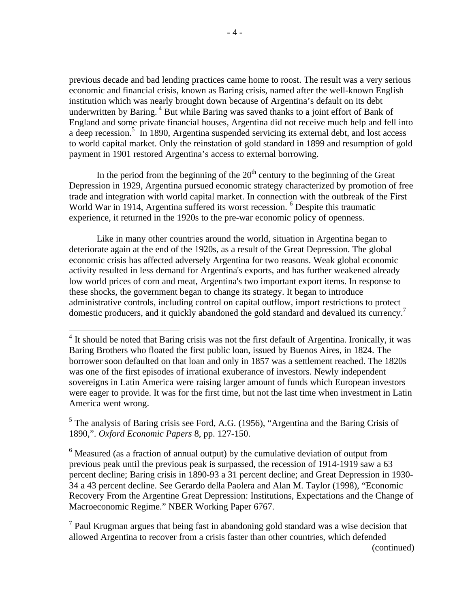previous decade and bad lending practices came home to roost. The result was a very serious economic and financial crisis, known as Baring crisis, named after the well-known English institution which was nearly brought down because of Argentina's default on its debt underwritten by Baring.<sup>4</sup> But while Baring was saved thanks to a joint effort of Bank of England and some private financial houses, Argentina did not receive much help and fell into a deep recession.<sup>5</sup> In 1890, Argentina suspended servicing its external debt, and lost access to world capital market. Only the reinstation of gold standard in 1899 and resumption of gold payment in 1901 restored Argentina's access to external borrowing.

In the period from the beginning of the  $20<sup>th</sup>$  century to the beginning of the Great Depression in 1929, Argentina pursued economic strategy characterized by promotion of free trade and integration with world capital market. In connection with the outbreak of the First World War in 1914, Argentina suffered its worst recession. <sup>6</sup> Despite this traumatic experience, it returned in the 1920s to the pre-war economic policy of openness.

Like in many other countries around the world, situation in Argentina began to deteriorate again at the end of the 1920s, as a result of the Great Depression. The global economic crisis has affected adversely Argentina for two reasons. Weak global economic activity resulted in less demand for Argentina's exports, and has further weakened already low world prices of corn and meat, Argentina's two important export items. In response to these shocks, the government began to change its strategy. It began to introduce administrative controls, including control on capital outflow, import restrictions to protect domestic producers, and it quickly abandoned the gold standard and devalued its currency.<sup>7</sup>

<u>.</u>

 $<sup>7</sup>$  Paul Krugman argues that being fast in abandoning gold standard was a wise decision that</sup> allowed Argentina to recover from a crisis faster than other countries, which defended

<sup>&</sup>lt;sup>4</sup> It should be noted that Baring crisis was not the first default of Argentina. Ironically, it was Baring Brothers who floated the first public loan, issued by Buenos Aires, in 1824. The borrower soon defaulted on that loan and only in 1857 was a settlement reached. The 1820s was one of the first episodes of irrational exuberance of investors. Newly independent sovereigns in Latin America were raising larger amount of funds which European investors were eager to provide. It was for the first time, but not the last time when investment in Latin America went wrong.

<sup>&</sup>lt;sup>5</sup> The analysis of Baring crisis see Ford, A.G. (1956), "Argentina and the Baring Crisis of 1890,". *Oxford Economic Papers* 8, pp. 127-150.

 $6$  Measured (as a fraction of annual output) by the cumulative deviation of output from previous peak until the previous peak is surpassed, the recession of 1914-1919 saw a 63 percent decline; Baring crisis in 1890-93 a 31 percent decline; and Great Depression in 1930- 34 a 43 percent decline. See Gerardo della Paolera and Alan M. Taylor (1998), "Economic Recovery From the Argentine Great Depression: Institutions, Expectations and the Change of Macroeconomic Regime." NBER Working Paper 6767.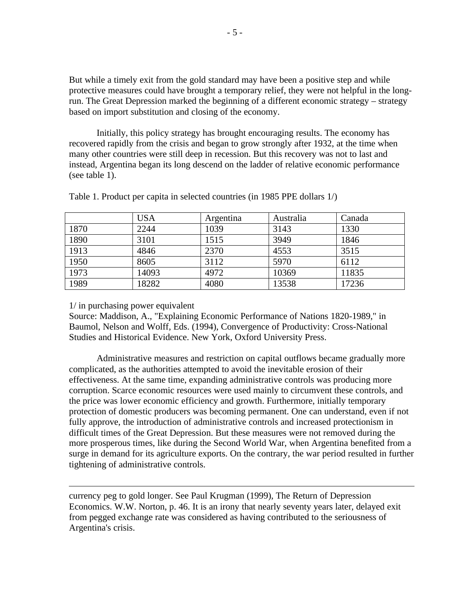But while a timely exit from the gold standard may have been a positive step and while protective measures could have brought a temporary relief, they were not helpful in the longrun. The Great Depression marked the beginning of a different economic strategy – strategy based on import substitution and closing of the economy.

Initially, this policy strategy has brought encouraging results. The economy has recovered rapidly from the crisis and began to grow strongly after 1932, at the time when many other countries were still deep in recession. But this recovery was not to last and instead, Argentina began its long descend on the ladder of relative economic performance (see table 1).

|      | <b>USA</b> | Argentina | Australia | Canada |
|------|------------|-----------|-----------|--------|
| 1870 | 2244       | 1039      | 3143      | 1330   |
| 1890 | 3101       | 1515      | 3949      | 1846   |
| 1913 | 4846       | 2370      | 4553      | 3515   |
| 1950 | 8605       | 3112      | 5970      | 6112   |
| 1973 | 14093      | 4972      | 10369     | 11835  |
| 1989 | 18282      | 4080      | 13538     | 17236  |

Table 1. Product per capita in selected countries (in 1985 PPE dollars 1/)

## 1/ in purchasing power equivalent

 $\overline{a}$ 

Source: Maddison, A., "Explaining Economic Performance of Nations 1820-1989," in Baumol, Nelson and Wolff, Eds. (1994), Convergence of Productivity: Cross-National Studies and Historical Evidence. New York, Oxford University Press.

Administrative measures and restriction on capital outflows became gradually more complicated, as the authorities attempted to avoid the inevitable erosion of their effectiveness. At the same time, expanding administrative controls was producing more corruption. Scarce economic resources were used mainly to circumvent these controls, and the price was lower economic efficiency and growth. Furthermore, initially temporary protection of domestic producers was becoming permanent. One can understand, even if not fully approve, the introduction of administrative controls and increased protectionism in difficult times of the Great Depression. But these measures were not removed during the more prosperous times, like during the Second World War, when Argentina benefited from a surge in demand for its agriculture exports. On the contrary, the war period resulted in further tightening of administrative controls.

currency peg to gold longer. See Paul Krugman (1999), The Return of Depression Economics. W.W. Norton, p. 46. It is an irony that nearly seventy years later, delayed exit from pegged exchange rate was considered as having contributed to the seriousness of Argentina's crisis.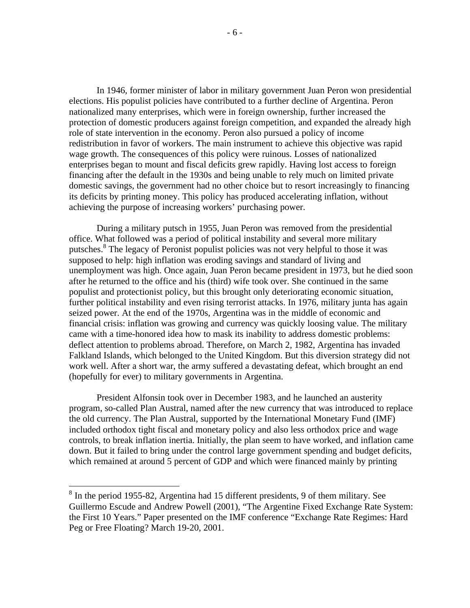In 1946, former minister of labor in military government Juan Peron won presidential elections. His populist policies have contributed to a further decline of Argentina. Peron nationalized many enterprises, which were in foreign ownership, further increased the protection of domestic producers against foreign competition, and expanded the already high role of state intervention in the economy. Peron also pursued a policy of income redistribution in favor of workers. The main instrument to achieve this objective was rapid wage growth. The consequences of this policy were ruinous. Losses of nationalized enterprises began to mount and fiscal deficits grew rapidly. Having lost access to foreign financing after the default in the 1930s and being unable to rely much on limited private domestic savings, the government had no other choice but to resort increasingly to financing its deficits by printing money. This policy has produced accelerating inflation, without achieving the purpose of increasing workers' purchasing power.

During a military putsch in 1955, Juan Peron was removed from the presidential office. What followed was a period of political instability and several more military putsches.<sup>8</sup> The legacy of Peronist populist policies was not very helpful to those it was supposed to help: high inflation was eroding savings and standard of living and unemployment was high. Once again, Juan Peron became president in 1973, but he died soon after he returned to the office and his (third) wife took over. She continued in the same populist and protectionist policy, but this brought only deteriorating economic situation, further political instability and even rising terrorist attacks. In 1976, military junta has again seized power. At the end of the 1970s, Argentina was in the middle of economic and financial crisis: inflation was growing and currency was quickly loosing value. The military came with a time-honored idea how to mask its inability to address domestic problems: deflect attention to problems abroad. Therefore, on March 2, 1982, Argentina has invaded Falkland Islands, which belonged to the United Kingdom. But this diversion strategy did not work well. After a short war, the army suffered a devastating defeat, which brought an end (hopefully for ever) to military governments in Argentina.

President Alfonsin took over in December 1983, and he launched an austerity program, so-called Plan Austral, named after the new currency that was introduced to replace the old currency. The Plan Austral, supported by the International Monetary Fund (IMF) included orthodox tight fiscal and monetary policy and also less orthodox price and wage controls, to break inflation inertia. Initially, the plan seem to have worked, and inflation came down. But it failed to bring under the control large government spending and budget deficits, which remained at around 5 percent of GDP and which were financed mainly by printing

<sup>&</sup>lt;sup>8</sup> In the period 1955-82, Argentina had 15 different presidents, 9 of them military. See Guillermo Escude and Andrew Powell (2001), "The Argentine Fixed Exchange Rate System: the First 10 Years." Paper presented on the IMF conference "Exchange Rate Regimes: Hard Peg or Free Floating? March 19-20, 2001.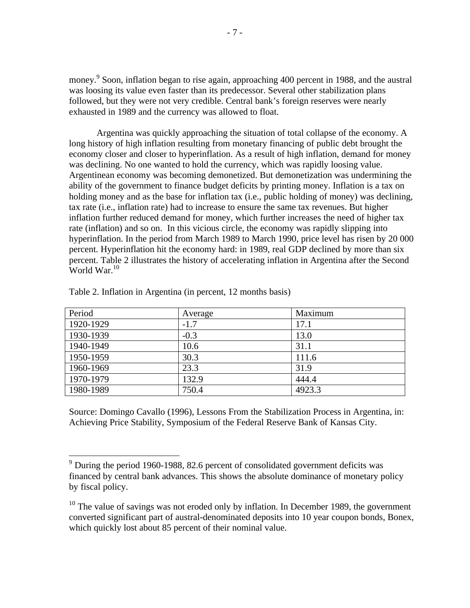money.<sup>9</sup> Soon, inflation began to rise again, approaching 400 percent in 1988, and the austral was loosing its value even faster than its predecessor. Several other stabilization plans followed, but they were not very credible. Central bank's foreign reserves were nearly exhausted in 1989 and the currency was allowed to float.

Argentina was quickly approaching the situation of total collapse of the economy. A long history of high inflation resulting from monetary financing of public debt brought the economy closer and closer to hyperinflation. As a result of high inflation, demand for money was declining. No one wanted to hold the currency, which was rapidly loosing value. Argentinean economy was becoming demonetized. But demonetization was undermining the ability of the government to finance budget deficits by printing money. Inflation is a tax on holding money and as the base for inflation tax (i.e., public holding of money) was declining, tax rate (i.e., inflation rate) had to increase to ensure the same tax revenues. But higher inflation further reduced demand for money, which further increases the need of higher tax rate (inflation) and so on. In this vicious circle, the economy was rapidly slipping into hyperinflation. In the period from March 1989 to March 1990, price level has risen by 20 000 percent. Hyperinflation hit the economy hard: in 1989, real GDP declined by more than six percent. Table 2 illustrates the history of accelerating inflation in Argentina after the Second World War.<sup>10</sup>

| Period    | Average | Maximum |
|-----------|---------|---------|
| 1920-1929 | $-1.7$  | 17.1    |
| 1930-1939 | $-0.3$  | 13.0    |
| 1940-1949 | 10.6    | 31.1    |
| 1950-1959 | 30.3    | 111.6   |
| 1960-1969 | 23.3    | 31.9    |
| 1970-1979 | 132.9   | 444.4   |
| 1980-1989 | 750.4   | 4923.3  |

Table 2. Inflation in Argentina (in percent, 12 months basis)

Source: Domingo Cavallo (1996), Lessons From the Stabilization Process in Argentina, in: Achieving Price Stability, Symposium of the Federal Reserve Bank of Kansas City.

<sup>&</sup>lt;sup>9</sup> During the period 1960-1988, 82.6 percent of consolidated government deficits was financed by central bank advances. This shows the absolute dominance of monetary policy by fiscal policy.

 $10$  The value of savings was not eroded only by inflation. In December 1989, the government converted significant part of austral-denominated deposits into 10 year coupon bonds, Bonex, which quickly lost about 85 percent of their nominal value.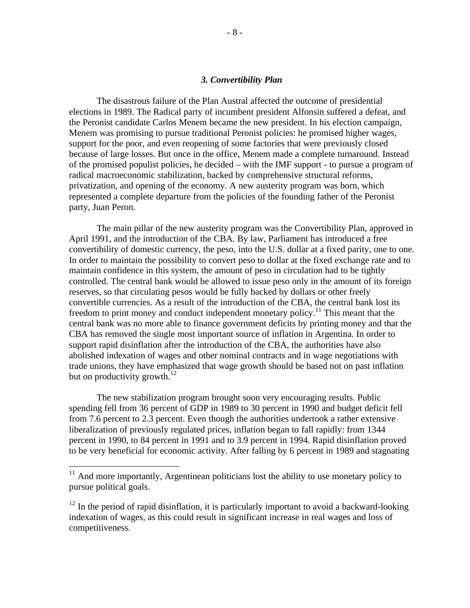#### *3. Convertibility Plan*

The disastrous failure of the Plan Austral affected the outcome of presidential elections in 1989. The Radical party of incumbent president Alfonsin suffered a defeat, and the Peronist candidate Carlos Menem became the new president. In his election campaign, Menem was promising to pursue traditional Peronist policies: he promised higher wages, support for the poor, and even reopening of some factories that were previously closed because of large losses. But once in the office, Menem made a complete turnaround. Instead of the promised populist policies, he decided – with the IMF support - to pursue a program of radical macroeconomic stabilization, backed by comprehensive structural reforms, privatization, and opening of the economy. A new austerity program was born, which represented a complete departure from the policies of the founding father of the Peronist party, Juan Peron.

The main pillar of the new austerity program was the Convertibility Plan, approved in April 1991, and the introduction of the CBA. By law, Parliament has introduced a free convertibility of domestic currency, the peso, into the U.S. dollar at a fixed parity, one to one. In order to maintain the possibility to convert peso to dollar at the fixed exchange rate and to maintain confidence in this system, the amount of peso in circulation had to be tightly controlled. The central bank would be allowed to issue peso only in the amount of its foreign reserves, so that circulating pesos would be fully backed by dollars or other freely convertible currencies. As a result of the introduction of the CBA, the central bank lost its freedom to print money and conduct independent monetary policy.<sup>11</sup> This meant that the central bank was no more able to finance government deficits by printing money and that the CBA has removed the single most important source of inflation in Argentina. In order to support rapid disinflation after the introduction of the CBA, the authorities have also abolished indexation of wages and other nominal contracts and in wage negotiations with trade unions, they have emphasized that wage growth should be based not on past inflation but on productivity growth.<sup>12</sup>

The new stabilization program brought soon very encouraging results. Public spending fell from 36 percent of GDP in 1989 to 30 percent in 1990 and budget deficit fell from 7.6 percent to 2.3 percent. Even though the authorities undertook a rather extensive liberalization of previously regulated prices, inflation began to fall rapidly: from 1344 percent in 1990, to 84 percent in 1991 and to 3.9 percent in 1994. Rapid disinflation proved to be very beneficial for economic activity. After falling by 6 percent in 1989 and stagnating

<u>.</u>

 $11$  And more importantly, Argentinean politicians lost the ability to use monetary policy to pursue political goals.

 $12$  In the period of rapid disinflation, it is particularly important to avoid a backward-looking indexation of wages, as this could result in significant increase in real wages and loss of competitiveness.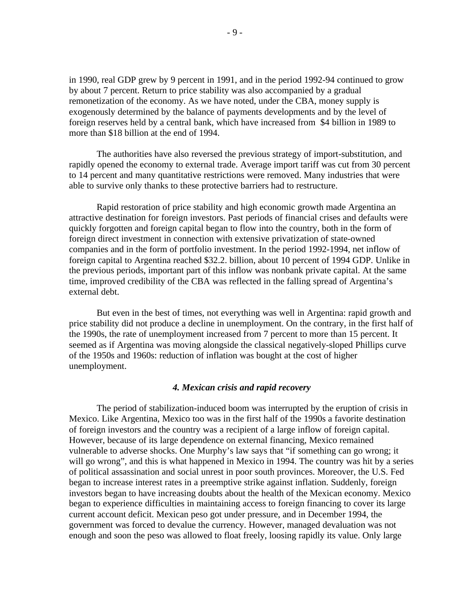in 1990, real GDP grew by 9 percent in 1991, and in the period 1992-94 continued to grow by about 7 percent. Return to price stability was also accompanied by a gradual remonetization of the economy. As we have noted, under the CBA, money supply is exogenously determined by the balance of payments developments and by the level of foreign reserves held by a central bank, which have increased from \$4 billion in 1989 to more than \$18 billion at the end of 1994.

The authorities have also reversed the previous strategy of import-substitution, and rapidly opened the economy to external trade. Average import tariff was cut from 30 percent to 14 percent and many quantitative restrictions were removed. Many industries that were able to survive only thanks to these protective barriers had to restructure.

Rapid restoration of price stability and high economic growth made Argentina an attractive destination for foreign investors. Past periods of financial crises and defaults were quickly forgotten and foreign capital began to flow into the country, both in the form of foreign direct investment in connection with extensive privatization of state-owned companies and in the form of portfolio investment. In the period 1992-1994, net inflow of foreign capital to Argentina reached \$32.2. billion, about 10 percent of 1994 GDP. Unlike in the previous periods, important part of this inflow was nonbank private capital. At the same time, improved credibility of the CBA was reflected in the falling spread of Argentina's external debt.

But even in the best of times, not everything was well in Argentina: rapid growth and price stability did not produce a decline in unemployment. On the contrary, in the first half of the 1990s, the rate of unemployment increased from 7 percent to more than 15 percent. It seemed as if Argentina was moving alongside the classical negatively-sloped Phillips curve of the 1950s and 1960s: reduction of inflation was bought at the cost of higher unemployment.

#### *4. Mexican crisis and rapid recovery*

The period of stabilization-induced boom was interrupted by the eruption of crisis in Mexico. Like Argentina, Mexico too was in the first half of the 1990s a favorite destination of foreign investors and the country was a recipient of a large inflow of foreign capital. However, because of its large dependence on external financing, Mexico remained vulnerable to adverse shocks. One Murphy's law says that "if something can go wrong; it will go wrong", and this is what happened in Mexico in 1994. The country was hit by a series of political assassination and social unrest in poor south provinces. Moreover, the U.S. Fed began to increase interest rates in a preemptive strike against inflation. Suddenly, foreign investors began to have increasing doubts about the health of the Mexican economy. Mexico began to experience difficulties in maintaining access to foreign financing to cover its large current account deficit. Mexican peso got under pressure, and in December 1994, the government was forced to devalue the currency. However, managed devaluation was not enough and soon the peso was allowed to float freely, loosing rapidly its value. Only large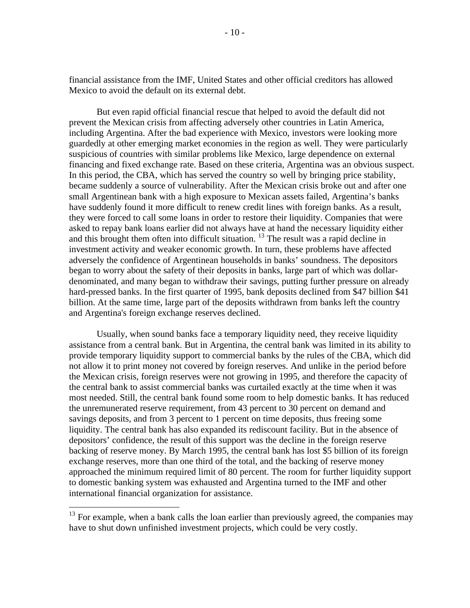financial assistance from the IMF, United States and other official creditors has allowed Mexico to avoid the default on its external debt.

But even rapid official financial rescue that helped to avoid the default did not prevent the Mexican crisis from affecting adversely other countries in Latin America, including Argentina. After the bad experience with Mexico, investors were looking more guardedly at other emerging market economies in the region as well. They were particularly suspicious of countries with similar problems like Mexico, large dependence on external financing and fixed exchange rate. Based on these criteria, Argentina was an obvious suspect. In this period, the CBA, which has served the country so well by bringing price stability, became suddenly a source of vulnerability. After the Mexican crisis broke out and after one small Argentinean bank with a high exposure to Mexican assets failed, Argentina's banks have suddenly found it more difficult to renew credit lines with foreign banks. As a result, they were forced to call some loans in order to restore their liquidity. Companies that were asked to repay bank loans earlier did not always have at hand the necessary liquidity either and this brought them often into difficult situation.  $^{13}$  The result was a rapid decline in investment activity and weaker economic growth. In turn, these problems have affected adversely the confidence of Argentinean households in banks' soundness. The depositors began to worry about the safety of their deposits in banks, large part of which was dollardenominated, and many began to withdraw their savings, putting further pressure on already hard-pressed banks. In the first quarter of 1995, bank deposits declined from \$47 billion \$41 billion. At the same time, large part of the deposits withdrawn from banks left the country and Argentina's foreign exchange reserves declined.

Usually, when sound banks face a temporary liquidity need, they receive liquidity assistance from a central bank. But in Argentina, the central bank was limited in its ability to provide temporary liquidity support to commercial banks by the rules of the CBA, which did not allow it to print money not covered by foreign reserves. And unlike in the period before the Mexican crisis, foreign reserves were not growing in 1995, and therefore the capacity of the central bank to assist commercial banks was curtailed exactly at the time when it was most needed. Still, the central bank found some room to help domestic banks. It has reduced the unremunerated reserve requirement, from 43 percent to 30 percent on demand and savings deposits, and from 3 percent to 1 percent on time deposits, thus freeing some liquidity. The central bank has also expanded its rediscount facility. But in the absence of depositors' confidence, the result of this support was the decline in the foreign reserve backing of reserve money. By March 1995, the central bank has lost \$5 billion of its foreign exchange reserves, more than one third of the total, and the backing of reserve money approached the minimum required limit of 80 percent. The room for further liquidity support to domestic banking system was exhausted and Argentina turned to the IMF and other international financial organization for assistance.

<u>.</u>

 $13$  For example, when a bank calls the loan earlier than previously agreed, the companies may have to shut down unfinished investment projects, which could be very costly.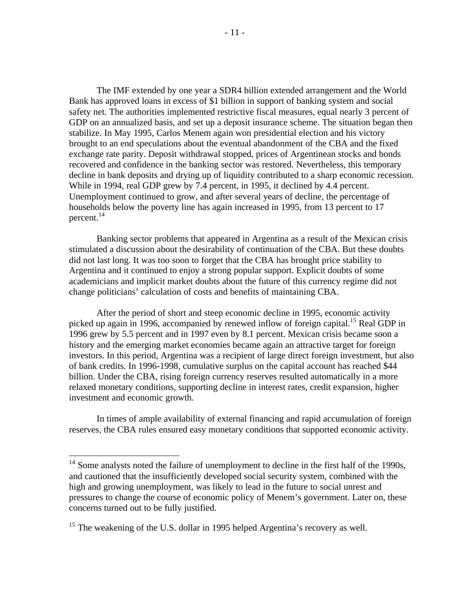The IMF extended by one year a SDR4 billion extended arrangement and the World Bank has approved loans in excess of \$1 billion in support of banking system and social safety net. The authorities implemented restrictive fiscal measures, equal nearly 3 percent of GDP on an annualized basis, and set up a deposit insurance scheme. The situation began then stabilize. In May 1995, Carlos Menem again won presidential election and his victory brought to an end speculations about the eventual abandonment of the CBA and the fixed exchange rate parity. Deposit withdrawal stopped, prices of Argentinean stocks and bonds recovered and confidence in the banking sector was restored. Nevertheless, this temporary decline in bank deposits and drying up of liquidity contributed to a sharp economic recession. While in 1994, real GDP grew by 7.4 percent, in 1995, it declined by 4.4 percent. Unemployment continued to grow, and after several years of decline, the percentage of households below the poverty line has again increased in 1995, from 13 percent to 17 percent. $^{14}$ 

Banking sector problems that appeared in Argentina as a result of the Mexican crisis stimulated a discussion about the desirability of continuation of the CBA. But these doubts did not last long. It was too soon to forget that the CBA has brought price stability to Argentina and it continued to enjoy a strong popular support. Explicit doubts of some academicians and implicit market doubts about the future of this currency regime did not change politicians' calculation of costs and benefits of maintaining CBA.

After the period of short and steep economic decline in 1995, economic activity picked up again in 1996, accompanied by renewed inflow of foreign capital.<sup>15</sup> Real GDP in 1996 grew by 5.5 percent and in 1997 even by 8.1 percent. Mexican crisis became soon a history and the emerging market economies became again an attractive target for foreign investors. In this period, Argentina was a recipient of large direct foreign investment, but also of bank credits. In 1996-1998, cumulative surplus on the capital account has reached \$44 billion. Under the CBA, rising foreign currency reserves resulted automatically in a more relaxed monetary conditions, supporting decline in interest rates, credit expansion, higher investment and economic growth.

In times of ample availability of external financing and rapid accumulation of foreign reserves, the CBA rules ensured easy monetary conditions that supported economic activity.

 $14$  Some analysts noted the failure of unemployment to decline in the first half of the 1990s, and cautioned that the insufficiently developed social security system, combined with the high and growing unemployment, was likely to lead in the future to social unrest and pressures to change the course of economic policy of Menem's government. Later on, these concerns turned out to be fully justified.

<sup>&</sup>lt;sup>15</sup> The weakening of the U.S. dollar in 1995 helped Argentina's recovery as well.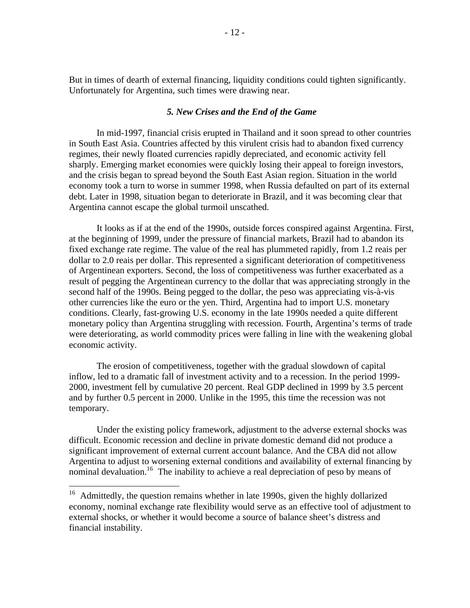But in times of dearth of external financing, liquidity conditions could tighten significantly. Unfortunately for Argentina, such times were drawing near.

#### *5. New Crises and the End of the Game*

In mid-1997, financial crisis erupted in Thailand and it soon spread to other countries in South East Asia. Countries affected by this virulent crisis had to abandon fixed currency regimes, their newly floated currencies rapidly depreciated, and economic activity fell sharply. Emerging market economies were quickly losing their appeal to foreign investors, and the crisis began to spread beyond the South East Asian region. Situation in the world economy took a turn to worse in summer 1998, when Russia defaulted on part of its external debt. Later in 1998, situation began to deteriorate in Brazil, and it was becoming clear that Argentina cannot escape the global turmoil unscathed.

It looks as if at the end of the 1990s, outside forces conspired against Argentina. First, at the beginning of 1999, under the pressure of financial markets, Brazil had to abandon its fixed exchange rate regime. The value of the real has plummeted rapidly, from 1.2 reais per dollar to 2.0 reais per dollar. This represented a significant deterioration of competitiveness of Argentinean exporters. Second, the loss of competitiveness was further exacerbated as a result of pegging the Argentinean currency to the dollar that was appreciating strongly in the second half of the 1990s. Being pegged to the dollar, the peso was appreciating vis-à-vis other currencies like the euro or the yen. Third, Argentina had to import U.S. monetary conditions. Clearly, fast-growing U.S. economy in the late 1990s needed a quite different monetary policy than Argentina struggling with recession. Fourth, Argentina's terms of trade were deteriorating, as world commodity prices were falling in line with the weakening global economic activity.

The erosion of competitiveness, together with the gradual slowdown of capital inflow, led to a dramatic fall of investment activity and to a recession. In the period 1999- 2000, investment fell by cumulative 20 percent. Real GDP declined in 1999 by 3.5 percent and by further 0.5 percent in 2000. Unlike in the 1995, this time the recession was not temporary.

Under the existing policy framework, adjustment to the adverse external shocks was difficult. Economic recession and decline in private domestic demand did not produce a significant improvement of external current account balance. And the CBA did not allow Argentina to adjust to worsening external conditions and availability of external financing by nominal devaluation.<sup>16</sup> The inability to achieve a real depreciation of peso by means of

 $16$  Admittedly, the question remains whether in late 1990s, given the highly dollarized economy, nominal exchange rate flexibility would serve as an effective tool of adjustment to external shocks, or whether it would become a source of balance sheet's distress and financial instability.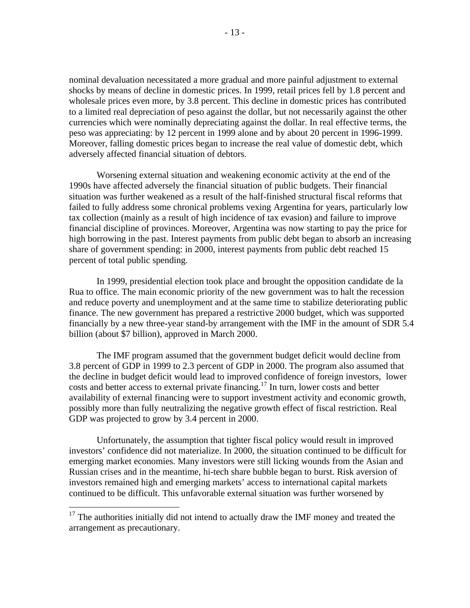nominal devaluation necessitated a more gradual and more painful adjustment to external shocks by means of decline in domestic prices. In 1999, retail prices fell by 1.8 percent and wholesale prices even more, by 3.8 percent. This decline in domestic prices has contributed to a limited real depreciation of peso against the dollar, but not necessarily against the other currencies which were nominally depreciating against the dollar. In real effective terms, the peso was appreciating: by 12 percent in 1999 alone and by about 20 percent in 1996-1999. Moreover, falling domestic prices began to increase the real value of domestic debt, which adversely affected financial situation of debtors.

Worsening external situation and weakening economic activity at the end of the 1990s have affected adversely the financial situation of public budgets. Their financial situation was further weakened as a result of the half-finished structural fiscal reforms that failed to fully address some chronical problems vexing Argentina for years, particularly low tax collection (mainly as a result of high incidence of tax evasion) and failure to improve financial discipline of provinces. Moreover, Argentina was now starting to pay the price for high borrowing in the past. Interest payments from public debt began to absorb an increasing share of government spending: in 2000, interest payments from public debt reached 15 percent of total public spending.

In 1999, presidential election took place and brought the opposition candidate de la Rua to office. The main economic priority of the new government was to halt the recession and reduce poverty and unemployment and at the same time to stabilize deteriorating public finance. The new government has prepared a restrictive 2000 budget, which was supported financially by a new three-year stand-by arrangement with the IMF in the amount of SDR 5.4 billion (about \$7 billion), approved in March 2000.

The IMF program assumed that the government budget deficit would decline from 3.8 percent of GDP in 1999 to 2.3 percent of GDP in 2000. The program also assumed that the decline in budget deficit would lead to improved confidence of foreign investors, lower costs and better access to external private financing.<sup>17</sup> In turn, lower costs and better availability of external financing were to support investment activity and economic growth, possibly more than fully neutralizing the negative growth effect of fiscal restriction. Real GDP was projected to grow by 3.4 percent in 2000.

Unfortunately, the assumption that tighter fiscal policy would result in improved investors' confidence did not materialize. In 2000, the situation continued to be difficult for emerging market economies. Many investors were still licking wounds from the Asian and Russian crises and in the meantime, hi-tech share bubble began to burst. Risk aversion of investors remained high and emerging markets' access to international capital markets continued to be difficult. This unfavorable external situation was further worsened by

 $17$  The authorities initially did not intend to actually draw the IMF money and treated the arrangement as precautionary.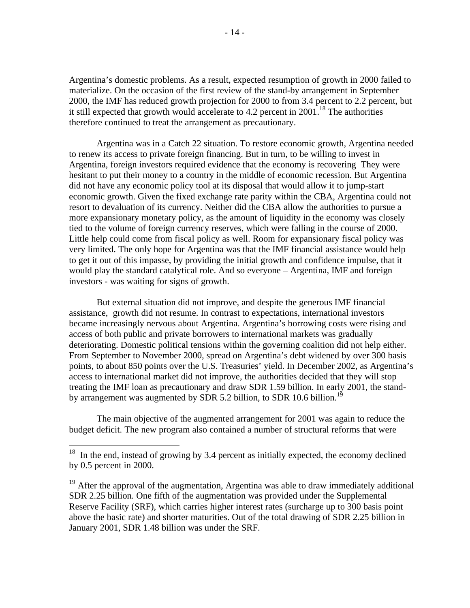Argentina's domestic problems. As a result, expected resumption of growth in 2000 failed to materialize. On the occasion of the first review of the stand-by arrangement in September 2000, the IMF has reduced growth projection for 2000 to from 3.4 percent to 2.2 percent, but it still expected that growth would accelerate to 4.2 percent in  $2001$ <sup>18</sup>. The authorities therefore continued to treat the arrangement as precautionary.

Argentina was in a Catch 22 situation. To restore economic growth, Argentina needed to renew its access to private foreign financing. But in turn, to be willing to invest in Argentina, foreign investors required evidence that the economy is recovering They were hesitant to put their money to a country in the middle of economic recession. But Argentina did not have any economic policy tool at its disposal that would allow it to jump-start economic growth. Given the fixed exchange rate parity within the CBA, Argentina could not resort to devaluation of its currency. Neither did the CBA allow the authorities to pursue a more expansionary monetary policy, as the amount of liquidity in the economy was closely tied to the volume of foreign currency reserves, which were falling in the course of 2000. Little help could come from fiscal policy as well. Room for expansionary fiscal policy was very limited. The only hope for Argentina was that the IMF financial assistance would help to get it out of this impasse, by providing the initial growth and confidence impulse, that it would play the standard catalytical role. And so everyone – Argentina, IMF and foreign investors - was waiting for signs of growth.

But external situation did not improve, and despite the generous IMF financial assistance, growth did not resume. In contrast to expectations, international investors became increasingly nervous about Argentina. Argentina's borrowing costs were rising and access of both public and private borrowers to international markets was gradually deteriorating. Domestic political tensions within the governing coalition did not help either. From September to November 2000, spread on Argentina's debt widened by over 300 basis points, to about 850 points over the U.S. Treasuries' yield. In December 2002, as Argentina's access to international market did not improve, the authorities decided that they will stop treating the IMF loan as precautionary and draw SDR 1.59 billion. In early 2001, the standby arrangement was augmented by SDR 5.2 billion, to SDR 10.6 billion.<sup>19</sup>

The main objective of the augmented arrangement for 2001 was again to reduce the budget deficit. The new program also contained a number of structural reforms that were

 $18$  In the end, instead of growing by 3.4 percent as initially expected, the economy declined by 0.5 percent in 2000.

<sup>&</sup>lt;sup>19</sup> After the approval of the augmentation, Argentina was able to draw immediately additional SDR 2.25 billion. One fifth of the augmentation was provided under the Supplemental Reserve Facility (SRF), which carries higher interest rates (surcharge up to 300 basis point above the basic rate) and shorter maturities. Out of the total drawing of SDR 2.25 billion in January 2001, SDR 1.48 billion was under the SRF.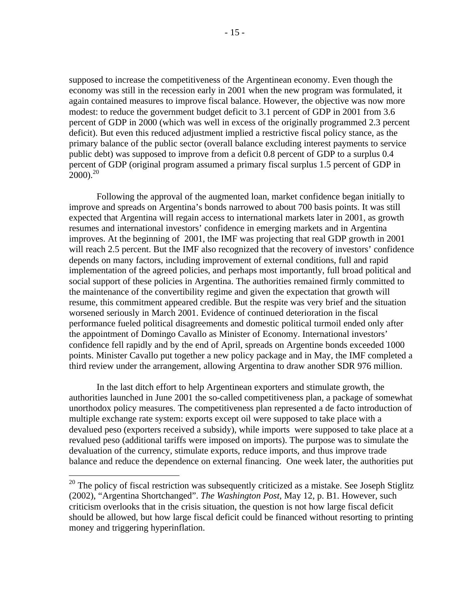supposed to increase the competitiveness of the Argentinean economy. Even though the economy was still in the recession early in 2001 when the new program was formulated, it again contained measures to improve fiscal balance. However, the objective was now more modest: to reduce the government budget deficit to 3.1 percent of GDP in 2001 from 3.6 percent of GDP in 2000 (which was well in excess of the originally programmed 2.3 percent deficit). But even this reduced adjustment implied a restrictive fiscal policy stance, as the primary balance of the public sector (overall balance excluding interest payments to service public debt) was supposed to improve from a deficit 0.8 percent of GDP to a surplus 0.4 percent of GDP (original program assumed a primary fiscal surplus 1.5 percent of GDP in  $2000^{20}$ 

Following the approval of the augmented loan, market confidence began initially to improve and spreads on Argentina's bonds narrowed to about 700 basis points. It was still expected that Argentina will regain access to international markets later in 2001, as growth resumes and international investors' confidence in emerging markets and in Argentina improves. At the beginning of 2001, the IMF was projecting that real GDP growth in 2001 will reach 2.5 percent. But the IMF also recognized that the recovery of investors' confidence depends on many factors, including improvement of external conditions, full and rapid implementation of the agreed policies, and perhaps most importantly, full broad political and social support of these policies in Argentina. The authorities remained firmly committed to the maintenance of the convertibility regime and given the expectation that growth will resume, this commitment appeared credible. But the respite was very brief and the situation worsened seriously in March 2001. Evidence of continued deterioration in the fiscal performance fueled political disagreements and domestic political turmoil ended only after the appointment of Domingo Cavallo as Minister of Economy. International investors' confidence fell rapidly and by the end of April, spreads on Argentine bonds exceeded 1000 points. Minister Cavallo put together a new policy package and in May, the IMF completed a third review under the arrangement, allowing Argentina to draw another SDR 976 million.

In the last ditch effort to help Argentinean exporters and stimulate growth, the authorities launched in June 2001 the so-called competitiveness plan, a package of somewhat unorthodox policy measures. The competitiveness plan represented a de facto introduction of multiple exchange rate system: exports except oil were supposed to take place with a devalued peso (exporters received a subsidy), while imports were supposed to take place at a revalued peso (additional tariffs were imposed on imports). The purpose was to simulate the devaluation of the currency, stimulate exports, reduce imports, and thus improve trade balance and reduce the dependence on external financing. One week later, the authorities put

 $20$  The policy of fiscal restriction was subsequently criticized as a mistake. See Joseph Stiglitz (2002), "Argentina Shortchanged". *The Washington Post,* May 12, p. B1. However, such criticism overlooks that in the crisis situation, the question is not how large fiscal deficit should be allowed, but how large fiscal deficit could be financed without resorting to printing money and triggering hyperinflation.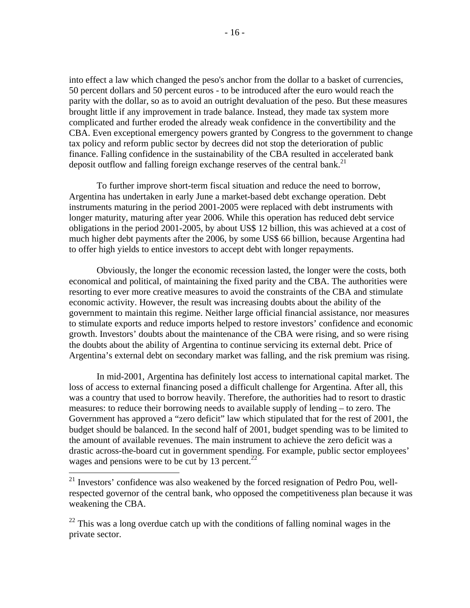into effect a law which changed the peso's anchor from the dollar to a basket of currencies, 50 percent dollars and 50 percent euros - to be introduced after the euro would reach the parity with the dollar, so as to avoid an outright devaluation of the peso. But these measures brought little if any improvement in trade balance. Instead, they made tax system more complicated and further eroded the already weak confidence in the convertibility and the CBA. Even exceptional emergency powers granted by Congress to the government to change tax policy and reform public sector by decrees did not stop the deterioration of public finance. Falling confidence in the sustainability of the CBA resulted in accelerated bank deposit outflow and falling foreign exchange reserves of the central bank.<sup>21</sup>

To further improve short-term fiscal situation and reduce the need to borrow, Argentina has undertaken in early June a market-based debt exchange operation. Debt instruments maturing in the period 2001-2005 were replaced with debt instruments with longer maturity, maturing after year 2006. While this operation has reduced debt service obligations in the period 2001-2005, by about US\$ 12 billion, this was achieved at a cost of much higher debt payments after the 2006, by some US\$ 66 billion, because Argentina had to offer high yields to entice investors to accept debt with longer repayments.

Obviously, the longer the economic recession lasted, the longer were the costs, both economical and political, of maintaining the fixed parity and the CBA. The authorities were resorting to ever more creative measures to avoid the constraints of the CBA and stimulate economic activity. However, the result was increasing doubts about the ability of the government to maintain this regime. Neither large official financial assistance, nor measures to stimulate exports and reduce imports helped to restore investors' confidence and economic growth. Investors' doubts about the maintenance of the CBA were rising, and so were rising the doubts about the ability of Argentina to continue servicing its external debt. Price of Argentina's external debt on secondary market was falling, and the risk premium was rising.

In mid-2001, Argentina has definitely lost access to international capital market. The loss of access to external financing posed a difficult challenge for Argentina. After all, this was a country that used to borrow heavily. Therefore, the authorities had to resort to drastic measures: to reduce their borrowing needs to available supply of lending – to zero. The Government has approved a "zero deficit" law which stipulated that for the rest of 2001, the budget should be balanced. In the second half of 2001, budget spending was to be limited to the amount of available revenues. The main instrument to achieve the zero deficit was a drastic across-the-board cut in government spending. For example, public sector employees' wages and pensions were to be cut by 13 percent.<sup>22</sup>

<u>.</u>

<sup>&</sup>lt;sup>21</sup> Investors' confidence was also weakened by the forced resignation of Pedro Pou, wellrespected governor of the central bank, who opposed the competitiveness plan because it was weakening the CBA.

 $22$  This was a long overdue catch up with the conditions of falling nominal wages in the private sector.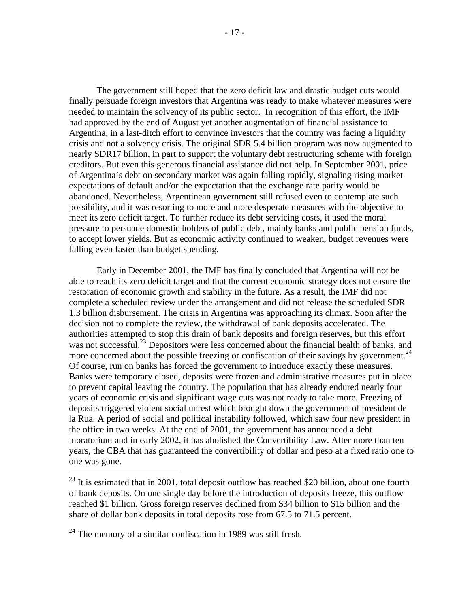The government still hoped that the zero deficit law and drastic budget cuts would finally persuade foreign investors that Argentina was ready to make whatever measures were needed to maintain the solvency of its public sector. In recognition of this effort, the IMF had approved by the end of August yet another augmentation of financial assistance to Argentina, in a last-ditch effort to convince investors that the country was facing a liquidity crisis and not a solvency crisis. The original SDR 5.4 billion program was now augmented to nearly SDR17 billion, in part to support the voluntary debt restructuring scheme with foreign creditors. But even this generous financial assistance did not help. In September 2001, price of Argentina's debt on secondary market was again falling rapidly, signaling rising market expectations of default and/or the expectation that the exchange rate parity would be abandoned. Nevertheless, Argentinean government still refused even to contemplate such possibility, and it was resorting to more and more desperate measures with the objective to meet its zero deficit target. To further reduce its debt servicing costs, it used the moral pressure to persuade domestic holders of public debt, mainly banks and public pension funds, to accept lower yields. But as economic activity continued to weaken, budget revenues were falling even faster than budget spending.

Early in December 2001, the IMF has finally concluded that Argentina will not be able to reach its zero deficit target and that the current economic strategy does not ensure the restoration of economic growth and stability in the future. As a result, the IMF did not complete a scheduled review under the arrangement and did not release the scheduled SDR 1.3 billion disbursement. The crisis in Argentina was approaching its climax. Soon after the decision not to complete the review, the withdrawal of bank deposits accelerated. The authorities attempted to stop this drain of bank deposits and foreign reserves, but this effort was not successful.<sup>23</sup> Depositors were less concerned about the financial health of banks, and more concerned about the possible freezing or confiscation of their savings by government.<sup>24</sup> Of course, run on banks has forced the government to introduce exactly these measures. Banks were temporary closed, deposits were frozen and administrative measures put in place to prevent capital leaving the country. The population that has already endured nearly four years of economic crisis and significant wage cuts was not ready to take more. Freezing of deposits triggered violent social unrest which brought down the government of president de la Rua. A period of social and political instability followed, which saw four new president in the office in two weeks. At the end of 2001, the government has announced a debt moratorium and in early 2002, it has abolished the Convertibility Law. After more than ten years, the CBA that has guaranteed the convertibility of dollar and peso at a fixed ratio one to one was gone.

<u>.</u>

 $23$  It is estimated that in 2001, total deposit outflow has reached \$20 billion, about one fourth of bank deposits. On one single day before the introduction of deposits freeze, this outflow reached \$1 billion. Gross foreign reserves declined from \$34 billion to \$15 billion and the share of dollar bank deposits in total deposits rose from 67.5 to 71.5 percent.

 $24$  The memory of a similar confiscation in 1989 was still fresh.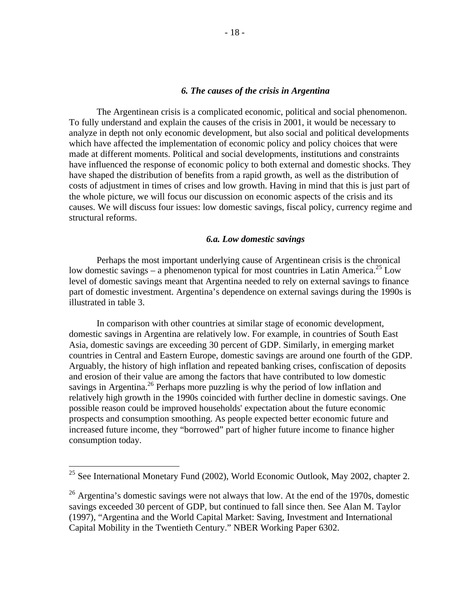### *6. The causes of the crisis in Argentina*

The Argentinean crisis is a complicated economic, political and social phenomenon. To fully understand and explain the causes of the crisis in 2001, it would be necessary to analyze in depth not only economic development, but also social and political developments which have affected the implementation of economic policy and policy choices that were made at different moments. Political and social developments, institutions and constraints have influenced the response of economic policy to both external and domestic shocks. They have shaped the distribution of benefits from a rapid growth, as well as the distribution of costs of adjustment in times of crises and low growth. Having in mind that this is just part of the whole picture, we will focus our discussion on economic aspects of the crisis and its causes. We will discuss four issues: low domestic savings, fiscal policy, currency regime and structural reforms.

#### *6.a. Low domestic savings*

Perhaps the most important underlying cause of Argentinean crisis is the chronical low domestic savings – a phenomenon typical for most countries in Latin America.<sup>25</sup> Low level of domestic savings meant that Argentina needed to rely on external savings to finance part of domestic investment. Argentina's dependence on external savings during the 1990s is illustrated in table 3.

In comparison with other countries at similar stage of economic development, domestic savings in Argentina are relatively low. For example, in countries of South East Asia, domestic savings are exceeding 30 percent of GDP. Similarly, in emerging market countries in Central and Eastern Europe, domestic savings are around one fourth of the GDP. Arguably, the history of high inflation and repeated banking crises, confiscation of deposits and erosion of their value are among the factors that have contributed to low domestic savings in Argentina.<sup>26</sup> Perhaps more puzzling is why the period of low inflation and relatively high growth in the 1990s coincided with further decline in domestic savings. One possible reason could be improved households' expectation about the future economic prospects and consumption smoothing. As people expected better economic future and increased future income, they "borrowed" part of higher future income to finance higher consumption today.

 $25$  See International Monetary Fund (2002), World Economic Outlook, May 2002, chapter 2.

 $26$  Argentina's domestic savings were not always that low. At the end of the 1970s, domestic savings exceeded 30 percent of GDP, but continued to fall since then. See Alan M. Taylor (1997), "Argentina and the World Capital Market: Saving, Investment and International Capital Mobility in the Twentieth Century." NBER Working Paper 6302.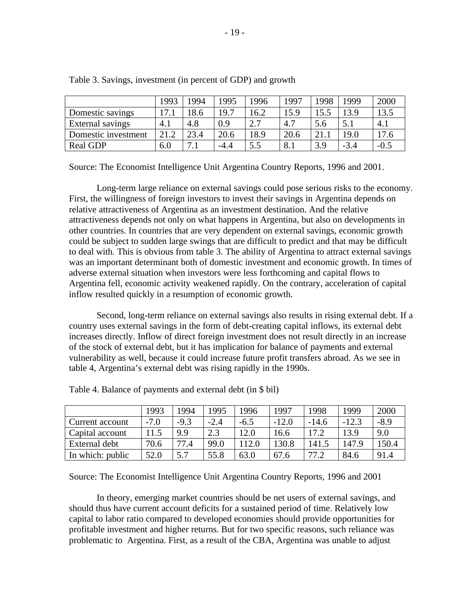|                     | 1993         | 1994 | 1995   | 1996 | 1997 | 1998 | 1999   | 2000   |
|---------------------|--------------|------|--------|------|------|------|--------|--------|
| Domestic savings    | $\mathbf{r}$ | 8.6  | 19.7   | 16.2 | 15.9 | 15.5 | 13.9   | 13.5   |
| External savings    | 4.1          | 4.8  | 0.9    | 2.7  | 4.7  | 5.6  | 5.1    | 4.1    |
| Domestic investment | 21.2         | 23.4 | 20.6   | 18.9 | 20.6 | 21.  | 19.0   | 17.6   |
| <b>Real GDP</b>     | 6.0          | 7.1  | $-4.4$ | 5.5  | 8.1  | 3.9  | $-3.4$ | $-0.5$ |

Table 3. Savings, investment (in percent of GDP) and growth

Source: The Economist Intelligence Unit Argentina Country Reports, 1996 and 2001.

Long-term large reliance on external savings could pose serious risks to the economy. First, the willingness of foreign investors to invest their savings in Argentina depends on relative attractiveness of Argentina as an investment destination. And the relative attractiveness depends not only on what happens in Argentina, but also on developments in other countries. In countries that are very dependent on external savings, economic growth could be subject to sudden large swings that are difficult to predict and that may be difficult to deal with. This is obvious from table 3. The ability of Argentina to attract external savings was an important determinant both of domestic investment and economic growth. In times of adverse external situation when investors were less forthcoming and capital flows to Argentina fell, economic activity weakened rapidly. On the contrary, acceleration of capital inflow resulted quickly in a resumption of economic growth.

Second, long-term reliance on external savings also results in rising external debt. If a country uses external savings in the form of debt-creating capital inflows, its external debt increases directly. Inflow of direct foreign investment does not result directly in an increase of the stock of external debt, but it has implication for balance of payments and external vulnerability as well, because it could increase future profit transfers abroad. As we see in table 4, Argentina's external debt was rising rapidly in the 1990s.

|                  | 1993   | 994    | 1995        | 1996   | 1997    | 1998    | 1999    | 2000   |
|------------------|--------|--------|-------------|--------|---------|---------|---------|--------|
| Current account  | $-7.0$ | $-9.3$ | $-2.4$      | $-6.5$ | $-12.0$ | $-14.6$ | $-12.3$ | $-8.9$ |
| Capital account  | 11.5   | 9.9    | $2^{\circ}$ | 12.0   | 16.6    | 17.2    | 13.9    | 9.0    |
| External debt    | 70.6   | 77.4   | 99.0        | 112.0  | 130.8   | 141.5   | 147.9   | 150.4  |
| In which: public | 52.0   | 5.7    | 55.8        | 63.0   | 67.6    | 77.2    | 84.6    | 91.4   |

Table 4. Balance of payments and external debt (in \$ bil)

Source: The Economist Intelligence Unit Argentina Country Reports, 1996 and 2001

In theory, emerging market countries should be net users of external savings, and should thus have current account deficits for a sustained period of time. Relatively low capital to labor ratio compared to developed economies should provide opportunities for profitable investment and higher returns. But for two specific reasons, such reliance was problematic to Argentina. First, as a result of the CBA, Argentina was unable to adjust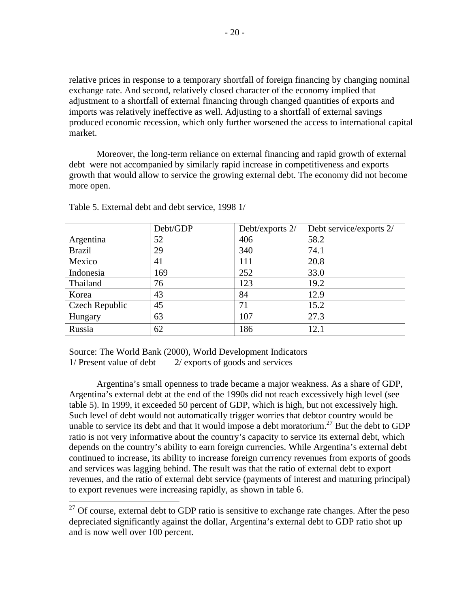relative prices in response to a temporary shortfall of foreign financing by changing nominal exchange rate. And second, relatively closed character of the economy implied that adjustment to a shortfall of external financing through changed quantities of exports and imports was relatively ineffective as well. Adjusting to a shortfall of external savings produced economic recession, which only further worsened the access to international capital market.

Moreover, the long-term reliance on external financing and rapid growth of external debt were not accompanied by similarly rapid increase in competitiveness and exports growth that would allow to service the growing external debt. The economy did not become more open.

|                       | Debt/GDP | Debt/exports 2/ | Debt service/exports 2/ |
|-----------------------|----------|-----------------|-------------------------|
| Argentina             | 52       | 406             | 58.2                    |
| <b>Brazil</b>         | 29       | 340             | 74.1                    |
| Mexico                | 41       | 111             | 20.8                    |
| Indonesia             | 169      | 252             | 33.0                    |
| Thailand              | 76       | 123             | 19.2                    |
| Korea                 | 43       | 84              | 12.9                    |
| <b>Czech Republic</b> | 45       | 71              | 15.2                    |
| Hungary               | 63       | 107             | 27.3                    |
| Russia                | 62       | 186             | 12.1                    |

Table 5. External debt and debt service, 1998 1/

 $\overline{a}$ 

Source: The World Bank (2000), World Development Indicators  $1/$  Present value of debt  $2/$  exports of goods and services

Argentina's small openness to trade became a major weakness. As a share of GDP, Argentina's external debt at the end of the 1990s did not reach excessively high level (see table 5). In 1999, it exceeded 50 percent of GDP, which is high, but not excessively high. Such level of debt would not automatically trigger worries that debtor country would be unable to service its debt and that it would impose a debt moratorium.<sup>27</sup> But the debt to GDP ratio is not very informative about the country's capacity to service its external debt, which depends on the country's ability to earn foreign currencies. While Argentina's external debt continued to increase, its ability to increase foreign currency revenues from exports of goods and services was lagging behind. The result was that the ratio of external debt to export revenues, and the ratio of external debt service (payments of interest and maturing principal) to export revenues were increasing rapidly, as shown in table 6.

 $27$  Of course, external debt to GDP ratio is sensitive to exchange rate changes. After the peso depreciated significantly against the dollar, Argentina's external debt to GDP ratio shot up and is now well over 100 percent.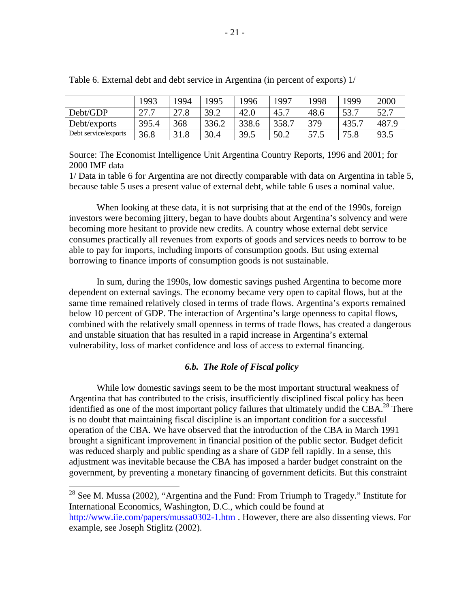|                      | 1993  | 1994 | 1995  | 1996  | 1997  | 1998 | 1999  | 2000  |
|----------------------|-------|------|-------|-------|-------|------|-------|-------|
| Debt/GDP             | 27.7  | 27.8 | 39.2  | 42.0  | 45.7  | 48.6 | 53.7  | 52.7  |
| Debt/exports         | 395.4 | 368  | 336.2 | 338.6 | 358.7 | 379  | 435.7 | 487.9 |
| Debt service/exports | 36.8  | 31.8 | 30.4  | 39.5  | 50.2  | 57.5 | 75.8  | 93.5  |

Table 6. External debt and debt service in Argentina (in percent of exports) 1/

Source: The Economist Intelligence Unit Argentina Country Reports, 1996 and 2001; for 2000 IMF data

1/ Data in table 6 for Argentina are not directly comparable with data on Argentina in table 5, because table 5 uses a present value of external debt, while table 6 uses a nominal value.

When looking at these data, it is not surprising that at the end of the 1990s, foreign investors were becoming jittery, began to have doubts about Argentina's solvency and were becoming more hesitant to provide new credits. A country whose external debt service consumes practically all revenues from exports of goods and services needs to borrow to be able to pay for imports, including imports of consumption goods. But using external borrowing to finance imports of consumption goods is not sustainable.

In sum, during the 1990s, low domestic savings pushed Argentina to become more dependent on external savings. The economy became very open to capital flows, but at the same time remained relatively closed in terms of trade flows. Argentina's exports remained below 10 percent of GDP. The interaction of Argentina's large openness to capital flows, combined with the relatively small openness in terms of trade flows, has created a dangerous and unstable situation that has resulted in a rapid increase in Argentina's external vulnerability, loss of market confidence and loss of access to external financing.

#### *6.b. The Role of Fiscal policy*

While low domestic savings seem to be the most important structural weakness of Argentina that has contributed to the crisis, insufficiently disciplined fiscal policy has been identified as one of the most important policy failures that ultimately undid the CBA.<sup>28</sup> There is no doubt that maintaining fiscal discipline is an important condition for a successful operation of the CBA. We have observed that the introduction of the CBA in March 1991 brought a significant improvement in financial position of the public sector. Budget deficit was reduced sharply and public spending as a share of GDP fell rapidly. In a sense, this adjustment was inevitable because the CBA has imposed a harder budget constraint on the government, by preventing a monetary financing of government deficits. But this constraint

 $^{28}$  See M. Mussa (2002), "Argentina and the Fund: From Triumph to Tragedy." Institute for International Economics, Washington, D.C., which could be found at http://www.iie.com/papers/mussa0302-1.htm . However, there are also dissenting views. For example, see Joseph Stiglitz (2002).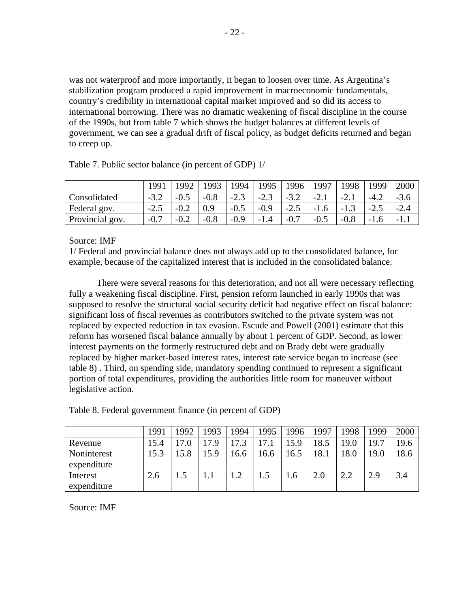was not waterproof and more importantly, it began to loosen over time. As Argentina's stabilization program produced a rapid improvement in macroeconomic fundamentals, country's credibility in international capital market improved and so did its access to international borrowing. There was no dramatic weakening of fiscal discipline in the course of the 1990s, but from table 7 which shows the budget balances at different levels of government, we can see a gradual drift of fiscal policy, as budget deficits returned and began to creep up.

|                 | 1991                      | 1992      | 1993   | 994    | .995   | 1996                    | .997   | .998           | 1999   | 2000   |
|-----------------|---------------------------|-----------|--------|--------|--------|-------------------------|--------|----------------|--------|--------|
| Consolidated    | $-3.2$                    | -1        | $-0.8$ | $-2.3$ | $-2.3$ | $-3.2$                  | $-2.1$ | $-L.1$         | $-4.2$ | -3.6   |
| Federal gov.    | $\gamma$ $\tau$<br>ب. 2 – | $-U.\sim$ | 0.9    | $-0.5$ | $-0.9$ | $\cap$ $\leq$<br>ى. 2 – | $-1.6$ | $\sim$<br>-1.9 | $-2.5$ | $-2.4$ |
| Provincial gov. | $-0.7$                    | $-0.2$    | $-0.8$ | $-0.9$ | $-1.$  | $-0.7$                  | $-0.5$ | $-0.8$         | -1.6   | - 1    |

Table 7. Public sector balance (in percent of GDP) 1/

Source: IMF

1/ Federal and provincial balance does not always add up to the consolidated balance, for example, because of the capitalized interest that is included in the consolidated balance.

There were several reasons for this deterioration, and not all were necessary reflecting fully a weakening fiscal discipline. First, pension reform launched in early 1990s that was supposed to resolve the structural social security deficit had negative effect on fiscal balance: significant loss of fiscal revenues as contributors switched to the private system was not replaced by expected reduction in tax evasion. Escude and Powell (2001) estimate that this reform has worsened fiscal balance annually by about 1 percent of GDP. Second, as lower interest payments on the formerly restructured debt and on Brady debt were gradually replaced by higher market-based interest rates, interest rate service began to increase (see table 8) . Third, on spending side, mandatory spending continued to represent a significant portion of total expenditures, providing the authorities little room for maneuver without legislative action.

|             | 1991 | 1992 | 1993 | 994 | 1995 | 996  | 1997 | 1998 | 1999 | 2000 |
|-------------|------|------|------|-----|------|------|------|------|------|------|
| Revenue     | 15.4 | 17.0 | 7.9  | 73  | 17.1 | 5.9  | 18.5 | 19.0 | 19.7 | 19.6 |
| Noninterest | 15.3 | 15.8 | 15.9 | 6.6 | 16.6 | .6.5 | 18.1 | 18.0 | 19.0 | 18.6 |
| expenditure |      |      |      |     |      |      |      |      |      |      |
| Interest    | 2.6  |      |      | 1.2 | 1.5  | 1.6  | 2.0  | 2.2  | 2.9  | 3.4  |
| expenditure |      |      |      |     |      |      |      |      |      |      |

Table 8. Federal government finance (in percent of GDP)

Source: IMF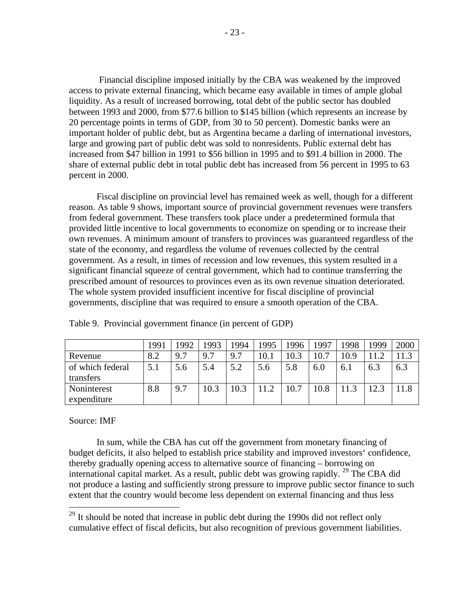Financial discipline imposed initially by the CBA was weakened by the improved access to private external financing, which became easy available in times of ample global liquidity. As a result of increased borrowing, total debt of the public sector has doubled between 1993 and 2000, from \$77.6 billion to \$145 billion (which represents an increase by 20 percentage points in terms of GDP, from 30 to 50 percent). Domestic banks were an important holder of public debt, but as Argentina became a darling of international investors, large and growing part of public debt was sold to nonresidents. Public external debt has increased from \$47 billion in 1991 to \$56 billion in 1995 and to \$91.4 billion in 2000. The share of external public debt in total public debt has increased from 56 percent in 1995 to 63 percent in 2000.

Fiscal discipline on provincial level has remained week as well, though for a different reason. As table 9 shows, important source of provincial government revenues were transfers from federal government. These transfers took place under a predetermined formula that provided little incentive to local governments to economize on spending or to increase their own revenues. A minimum amount of transfers to provinces was guaranteed regardless of the state of the economy, and regardless the volume of revenues collected by the central government. As a result, in times of recession and low revenues, this system resulted in a significant financial squeeze of central government, which had to continue transferring the prescribed amount of resources to provinces even as its own revenue situation deteriorated. The whole system provided insufficient incentive for fiscal discipline of provincial governments, discipline that was required to ensure a smooth operation of the CBA.

|                  | 1991 | 1992 | 993  | 1994 | 1995        | .996 | 1997 | 1998 | 1999 | 2000 |
|------------------|------|------|------|------|-------------|------|------|------|------|------|
| Revenue          | 8.2  | 9.7  | 9.7  | 9.7  | 10.1        | 10.3 | 10.7 | 10.9 | 11.2 | 1.3  |
| of which federal | 5.1  | 5.6  | 5.4  | 5.2  | 5.6         | 5.8  | 6.0  | 6.1  | 6.3  | 6.3  |
| transfers        |      |      |      |      |             |      |      |      |      |      |
| Noninterest      | 8.8  | 9.7  | 10.3 | 10.3 | 11 $\Omega$ | 10.7 | 10.8 |      | 12.3 |      |
| expenditure      |      |      |      |      |             |      |      |      |      |      |

Table 9. Provincial government finance (in percent of GDP)

#### Source: IMF

 $\overline{a}$ 

In sum, while the CBA has cut off the government from monetary financing of budget deficits, it also helped to establish price stability and improved investors' confidence, thereby gradually opening access to alternative source of financing – borrowing on international capital market. As a result, public debt was growing rapidly. <sup>29</sup> The CBA did not produce a lasting and sufficiently strong pressure to improve public sector finance to such extent that the country would become less dependent on external financing and thus less

 $29$  It should be noted that increase in public debt during the 1990s did not reflect only cumulative effect of fiscal deficits, but also recognition of previous government liabilities.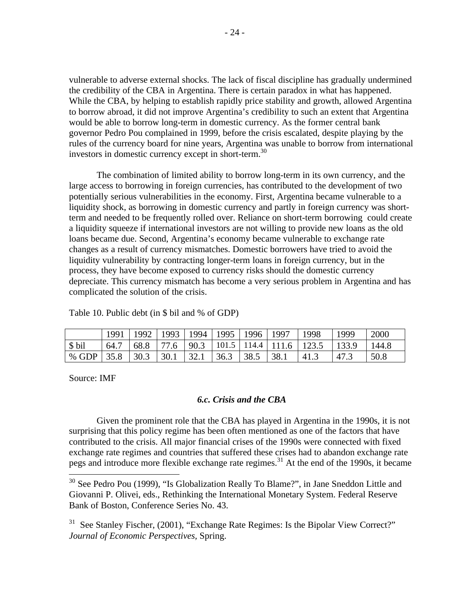vulnerable to adverse external shocks. The lack of fiscal discipline has gradually undermined the credibility of the CBA in Argentina. There is certain paradox in what has happened. While the CBA, by helping to establish rapidly price stability and growth, allowed Argentina to borrow abroad, it did not improve Argentina's credibility to such an extent that Argentina would be able to borrow long-term in domestic currency. As the former central bank governor Pedro Pou complained in 1999, before the crisis escalated, despite playing by the rules of the currency board for nine years, Argentina was unable to borrow from international investors in domestic currency except in short-term.<sup>30</sup>

The combination of limited ability to borrow long-term in its own currency, and the large access to borrowing in foreign currencies, has contributed to the development of two potentially serious vulnerabilities in the economy. First, Argentina became vulnerable to a liquidity shock, as borrowing in domestic currency and partly in foreign currency was shortterm and needed to be frequently rolled over. Reliance on short-term borrowing could create a liquidity squeeze if international investors are not willing to provide new loans as the old loans became due. Second, Argentina's economy became vulnerable to exchange rate changes as a result of currency mismatches. Domestic borrowers have tried to avoid the liquidity vulnerability by contracting longer-term loans in foreign currency, but in the process, they have become exposed to currency risks should the domestic currency depreciate. This currency mismatch has become a very serious problem in Argentina and has complicated the solution of the crisis.

Table 10. Public debt (in \$ bil and % of GDP)

|         | 1991 | 1992 | 1993 | 1994                    | 1995 | 1996 | 1997                    | 1998  | 1999 | 2000 |
|---------|------|------|------|-------------------------|------|------|-------------------------|-------|------|------|
| \$ bil  | 64.7 | 68.8 | 77.6 | 90.3                    |      |      | $101.5$   114.4   111.6 | 123.5 |      | 44.8 |
| $%$ GDP | 35.8 | 30.3 | 30.1 | 32 <sup>°</sup><br>ہ کر | 36.3 | 38.5 | 38.1                    | 41.3  | 47.3 | 50.8 |

Source: IMF

 $\overline{a}$ 

#### *6.c. Crisis and the CBA*

Given the prominent role that the CBA has played in Argentina in the 1990s, it is not surprising that this policy regime has been often mentioned as one of the factors that have contributed to the crisis. All major financial crises of the 1990s were connected with fixed exchange rate regimes and countries that suffered these crises had to abandon exchange rate pegs and introduce more flexible exchange rate regimes.<sup>31</sup> At the end of the 1990s, it became

<sup>&</sup>lt;sup>30</sup> See Pedro Pou (1999), "Is Globalization Really To Blame?", in Jane Sneddon Little and Giovanni P. Olivei, eds., Rethinking the International Monetary System. Federal Reserve Bank of Boston, Conference Series No. 43.

<sup>&</sup>lt;sup>31</sup> See Stanley Fischer, (2001), "Exchange Rate Regimes: Is the Bipolar View Correct?" *Journal of Economic Perspectives,* Spring.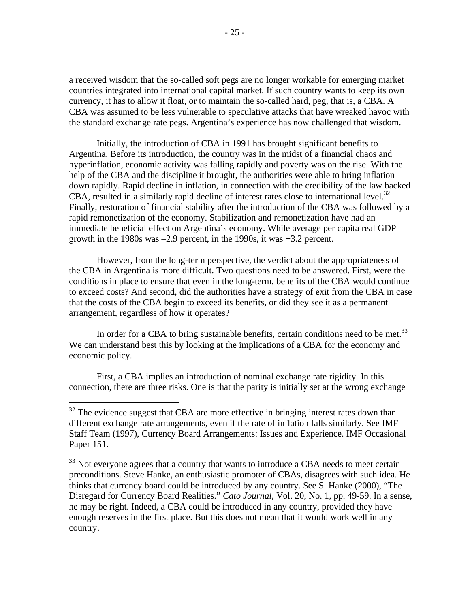a received wisdom that the so-called soft pegs are no longer workable for emerging market countries integrated into international capital market. If such country wants to keep its own currency, it has to allow it float, or to maintain the so-called hard, peg, that is, a CBA. A CBA was assumed to be less vulnerable to speculative attacks that have wreaked havoc with the standard exchange rate pegs. Argentina's experience has now challenged that wisdom.

Initially, the introduction of CBA in 1991 has brought significant benefits to Argentina. Before its introduction, the country was in the midst of a financial chaos and hyperinflation, economic activity was falling rapidly and poverty was on the rise. With the help of the CBA and the discipline it brought, the authorities were able to bring inflation down rapidly. Rapid decline in inflation, in connection with the credibility of the law backed CBA, resulted in a similarly rapid decline of interest rates close to international level. $32$ Finally, restoration of financial stability after the introduction of the CBA was followed by a rapid remonetization of the economy. Stabilization and remonetization have had an immediate beneficial effect on Argentina's economy. While average per capita real GDP growth in the 1980s was –2.9 percent, in the 1990s, it was +3.2 percent.

However, from the long-term perspective, the verdict about the appropriateness of the CBA in Argentina is more difficult. Two questions need to be answered. First, were the conditions in place to ensure that even in the long-term, benefits of the CBA would continue to exceed costs? And second, did the authorities have a strategy of exit from the CBA in case that the costs of the CBA begin to exceed its benefits, or did they see it as a permanent arrangement, regardless of how it operates?

In order for a CBA to bring sustainable benefits, certain conditions need to be met.<sup>33</sup> We can understand best this by looking at the implications of a CBA for the economy and economic policy.

First, a CBA implies an introduction of nominal exchange rate rigidity. In this connection, there are three risks. One is that the parity is initially set at the wrong exchange

 $32$  The evidence suggest that CBA are more effective in bringing interest rates down than different exchange rate arrangements, even if the rate of inflation falls similarly. See IMF Staff Team (1997), Currency Board Arrangements: Issues and Experience. IMF Occasional Paper 151.

<sup>&</sup>lt;sup>33</sup> Not everyone agrees that a country that wants to introduce a CBA needs to meet certain preconditions. Steve Hanke, an enthusiastic promoter of CBAs, disagrees with such idea. He thinks that currency board could be introduced by any country. See S. Hanke (2000), "The Disregard for Currency Board Realities." *Cato Journal,* Vol. 20, No. 1, pp. 49-59. In a sense, he may be right. Indeed, a CBA could be introduced in any country, provided they have enough reserves in the first place. But this does not mean that it would work well in any country.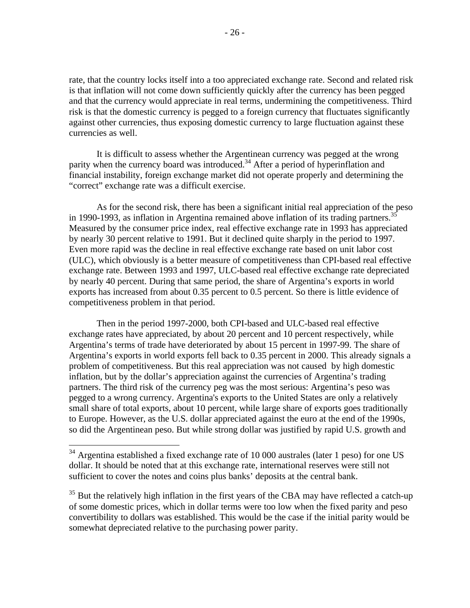rate, that the country locks itself into a too appreciated exchange rate. Second and related risk is that inflation will not come down sufficiently quickly after the currency has been pegged and that the currency would appreciate in real terms, undermining the competitiveness. Third risk is that the domestic currency is pegged to a foreign currency that fluctuates significantly against other currencies, thus exposing domestic currency to large fluctuation against these currencies as well.

It is difficult to assess whether the Argentinean currency was pegged at the wrong parity when the currency board was introduced.<sup>34</sup> After a period of hyperinflation and financial instability, foreign exchange market did not operate properly and determining the "correct" exchange rate was a difficult exercise.

As for the second risk, there has been a significant initial real appreciation of the peso in 1990-1993, as inflation in Argentina remained above inflation of its trading partners.<sup>37</sup> Measured by the consumer price index, real effective exchange rate in 1993 has appreciated by nearly 30 percent relative to 1991. But it declined quite sharply in the period to 1997. Even more rapid was the decline in real effective exchange rate based on unit labor cost (ULC), which obviously is a better measure of competitiveness than CPI-based real effective exchange rate. Between 1993 and 1997, ULC-based real effective exchange rate depreciated by nearly 40 percent. During that same period, the share of Argentina's exports in world exports has increased from about 0.35 percent to 0.5 percent. So there is little evidence of competitiveness problem in that period.

Then in the period 1997-2000, both CPI-based and ULC-based real effective exchange rates have appreciated, by about 20 percent and 10 percent respectively, while Argentina's terms of trade have deteriorated by about 15 percent in 1997-99. The share of Argentina's exports in world exports fell back to 0.35 percent in 2000. This already signals a problem of competitiveness. But this real appreciation was not caused by high domestic inflation, but by the dollar's appreciation against the currencies of Argentina's trading partners. The third risk of the currency peg was the most serious: Argentina's peso was pegged to a wrong currency. Argentina's exports to the United States are only a relatively small share of total exports, about 10 percent, while large share of exports goes traditionally to Europe. However, as the U.S. dollar appreciated against the euro at the end of the 1990s, so did the Argentinean peso. But while strong dollar was justified by rapid U.S. growth and

<u>.</u>

 $34$  Argentina established a fixed exchange rate of 10 000 australes (later 1 peso) for one US dollar. It should be noted that at this exchange rate, international reserves were still not sufficient to cover the notes and coins plus banks' deposits at the central bank.

<sup>&</sup>lt;sup>35</sup> But the relatively high inflation in the first years of the CBA may have reflected a catch-up of some domestic prices, which in dollar terms were too low when the fixed parity and peso convertibility to dollars was established. This would be the case if the initial parity would be somewhat depreciated relative to the purchasing power parity.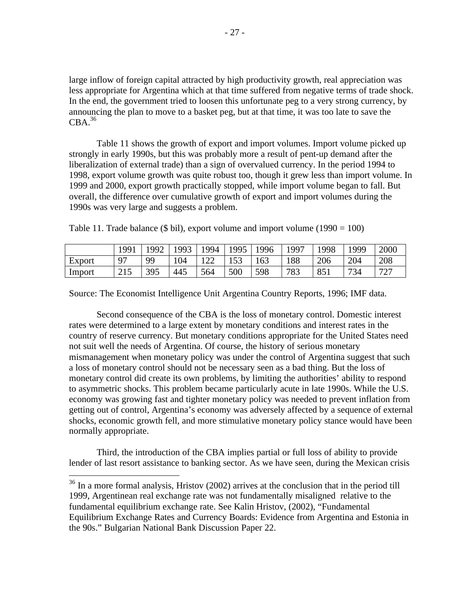large inflow of foreign capital attracted by high productivity growth, real appreciation was less appropriate for Argentina which at that time suffered from negative terms of trade shock. In the end, the government tried to loosen this unfortunate peg to a very strong currency, by announcing the plan to move to a basket peg, but at that time, it was too late to save the  $CBA.<sup>36</sup>$ 

Table 11 shows the growth of export and import volumes. Import volume picked up strongly in early 1990s, but this was probably more a result of pent-up demand after the liberalization of external trade) than a sign of overvalued currency. In the period 1994 to 1998, export volume growth was quite robust too, though it grew less than import volume. In 1999 and 2000, export growth practically stopped, while import volume began to fall. But overall, the difference over cumulative growth of export and import volumes during the 1990s was very large and suggests a problem.

|        | 1991 | .992 | 1993 | 1994 | 1995       | 1996 | 1997 | 1998            | 1999 | 2000     |
|--------|------|------|------|------|------------|------|------|-----------------|------|----------|
| Export | 97   | QQ   | 104  | 100  | 153<br>⊥ຸບ | 163  | 188  | 206             | 204  | 208      |
| Import | 215  | 395  | 445  | 564  | 500        | 598  | 783  | 85 <sub>1</sub> | 734  | 707<br>∠ |

Table 11. Trade balance (\$ bil), export volume and import volume (1990 = 100)

Source: The Economist Intelligence Unit Argentina Country Reports, 1996; IMF data.

Second consequence of the CBA is the loss of monetary control. Domestic interest rates were determined to a large extent by monetary conditions and interest rates in the country of reserve currency. But monetary conditions appropriate for the United States need not suit well the needs of Argentina. Of course, the history of serious monetary mismanagement when monetary policy was under the control of Argentina suggest that such a loss of monetary control should not be necessary seen as a bad thing. But the loss of monetary control did create its own problems, by limiting the authorities' ability to respond to asymmetric shocks. This problem became particularly acute in late 1990s. While the U.S. economy was growing fast and tighter monetary policy was needed to prevent inflation from getting out of control, Argentina's economy was adversely affected by a sequence of external shocks, economic growth fell, and more stimulative monetary policy stance would have been normally appropriate.

Third, the introduction of the CBA implies partial or full loss of ability to provide lender of last resort assistance to banking sector. As we have seen, during the Mexican crisis

 $36$  In a more formal analysis, Hristov (2002) arrives at the conclusion that in the period till 1999, Argentinean real exchange rate was not fundamentally misaligned relative to the fundamental equilibrium exchange rate. See Kalin Hristov, (2002), "Fundamental Equilibrium Exchange Rates and Currency Boards: Evidence from Argentina and Estonia in the 90s." Bulgarian National Bank Discussion Paper 22.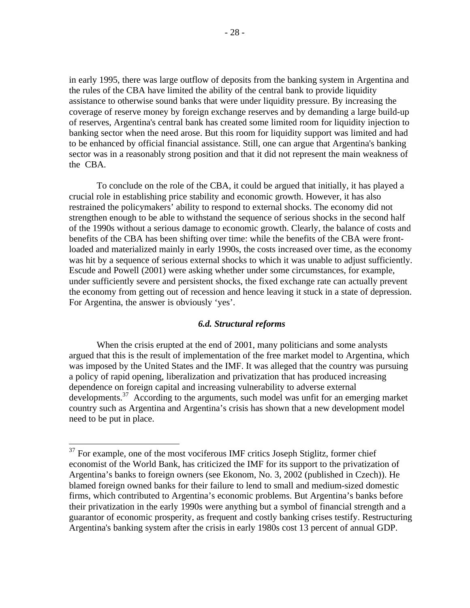in early 1995, there was large outflow of deposits from the banking system in Argentina and the rules of the CBA have limited the ability of the central bank to provide liquidity assistance to otherwise sound banks that were under liquidity pressure. By increasing the coverage of reserve money by foreign exchange reserves and by demanding a large build-up of reserves, Argentina's central bank has created some limited room for liquidity injection to banking sector when the need arose. But this room for liquidity support was limited and had to be enhanced by official financial assistance. Still, one can argue that Argentina's banking sector was in a reasonably strong position and that it did not represent the main weakness of the CBA.

To conclude on the role of the CBA, it could be argued that initially, it has played a crucial role in establishing price stability and economic growth. However, it has also restrained the policymakers' ability to respond to external shocks. The economy did not strengthen enough to be able to withstand the sequence of serious shocks in the second half of the 1990s without a serious damage to economic growth. Clearly, the balance of costs and benefits of the CBA has been shifting over time: while the benefits of the CBA were frontloaded and materialized mainly in early 1990s, the costs increased over time, as the economy was hit by a sequence of serious external shocks to which it was unable to adjust sufficiently. Escude and Powell (2001) were asking whether under some circumstances, for example, under sufficiently severe and persistent shocks, the fixed exchange rate can actually prevent the economy from getting out of recession and hence leaving it stuck in a state of depression. For Argentina, the answer is obviously 'yes'.

#### *6.d. Structural reforms*

When the crisis erupted at the end of 2001, many politicians and some analysts argued that this is the result of implementation of the free market model to Argentina, which was imposed by the United States and the IMF. It was alleged that the country was pursuing a policy of rapid opening, liberalization and privatization that has produced increasing dependence on foreign capital and increasing vulnerability to adverse external developments.<sup>37</sup> According to the arguments, such model was unfit for an emerging market country such as Argentina and Argentina's crisis has shown that a new development model need to be put in place.

<sup>&</sup>lt;sup>37</sup> For example, one of the most vociferous IMF critics Joseph Stiglitz, former chief economist of the World Bank, has criticized the IMF for its support to the privatization of Argentina's banks to foreign owners (see Ekonom, No. 3, 2002 (published in Czech)). He blamed foreign owned banks for their failure to lend to small and medium-sized domestic firms, which contributed to Argentina's economic problems. But Argentina's banks before their privatization in the early 1990s were anything but a symbol of financial strength and a guarantor of economic prosperity, as frequent and costly banking crises testify. Restructuring Argentina's banking system after the crisis in early 1980s cost 13 percent of annual GDP.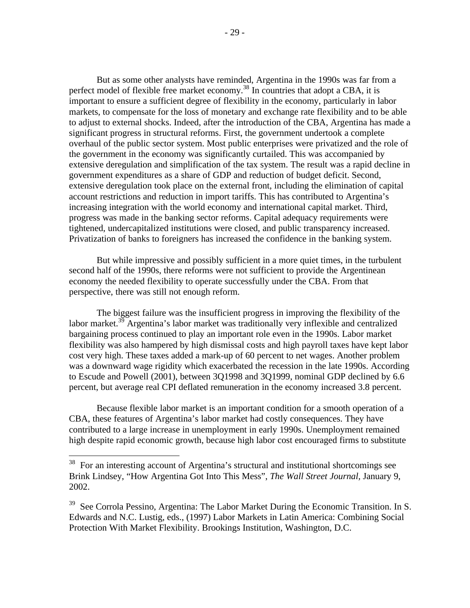But as some other analysts have reminded, Argentina in the 1990s was far from a perfect model of flexible free market economy.<sup>38</sup> In countries that adopt a CBA, it is important to ensure a sufficient degree of flexibility in the economy, particularly in labor markets, to compensate for the loss of monetary and exchange rate flexibility and to be able to adjust to external shocks. Indeed, after the introduction of the CBA, Argentina has made a significant progress in structural reforms. First, the government undertook a complete overhaul of the public sector system. Most public enterprises were privatized and the role of the government in the economy was significantly curtailed. This was accompanied by extensive deregulation and simplification of the tax system. The result was a rapid decline in government expenditures as a share of GDP and reduction of budget deficit. Second, extensive deregulation took place on the external front, including the elimination of capital account restrictions and reduction in import tariffs. This has contributed to Argentina's increasing integration with the world economy and international capital market. Third, progress was made in the banking sector reforms. Capital adequacy requirements were tightened, undercapitalized institutions were closed, and public transparency increased. Privatization of banks to foreigners has increased the confidence in the banking system.

But while impressive and possibly sufficient in a more quiet times, in the turbulent second half of the 1990s, there reforms were not sufficient to provide the Argentinean economy the needed flexibility to operate successfully under the CBA. From that perspective, there was still not enough reform.

The biggest failure was the insufficient progress in improving the flexibility of the labor market.<sup>39</sup> Argentina's labor market was traditionally very inflexible and centralized bargaining process continued to play an important role even in the 1990s. Labor market flexibility was also hampered by high dismissal costs and high payroll taxes have kept labor cost very high. These taxes added a mark-up of 60 percent to net wages. Another problem was a downward wage rigidity which exacerbated the recession in the late 1990s. According to Escude and Powell (2001), between 3Q1998 and 3Q1999, nominal GDP declined by 6.6 percent, but average real CPI deflated remuneration in the economy increased 3.8 percent.

Because flexible labor market is an important condition for a smooth operation of a CBA, these features of Argentina's labor market had costly consequences. They have contributed to a large increase in unemployment in early 1990s. Unemployment remained high despite rapid economic growth, because high labor cost encouraged firms to substitute

 $38$  For an interesting account of Argentina's structural and institutional shortcomings see Brink Lindsey, "How Argentina Got Into This Mess", *The Wall Street Journal,* January 9, 2002.

<sup>&</sup>lt;sup>39</sup> See Corrola Pessino, Argentina: The Labor Market During the Economic Transition. In S. Edwards and N.C. Lustig, eds., (1997) Labor Markets in Latin America: Combining Social Protection With Market Flexibility. Brookings Institution, Washington, D.C.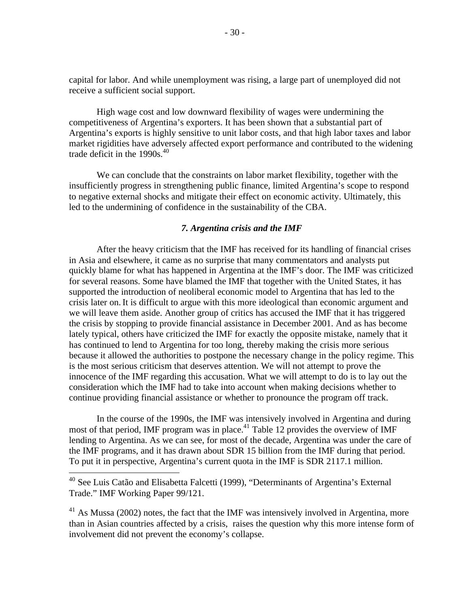capital for labor. And while unemployment was rising, a large part of unemployed did not receive a sufficient social support.

High wage cost and low downward flexibility of wages were undermining the competitiveness of Argentina's exporters. It has been shown that a substantial part of Argentina's exports is highly sensitive to unit labor costs, and that high labor taxes and labor market rigidities have adversely affected export performance and contributed to the widening trade deficit in the  $1990s<sup>40</sup>$ 

We can conclude that the constraints on labor market flexibility, together with the insufficiently progress in strengthening public finance, limited Argentina's scope to respond to negative external shocks and mitigate their effect on economic activity. Ultimately, this led to the undermining of confidence in the sustainability of the CBA.

## *7. Argentina crisis and the IMF*

After the heavy criticism that the IMF has received for its handling of financial crises in Asia and elsewhere, it came as no surprise that many commentators and analysts put quickly blame for what has happened in Argentina at the IMF's door. The IMF was criticized for several reasons. Some have blamed the IMF that together with the United States, it has supported the introduction of neoliberal economic model to Argentina that has led to the crisis later on.It is difficult to argue with this more ideological than economic argument and we will leave them aside. Another group of critics has accused the IMF that it has triggered the crisis by stopping to provide financial assistance in December 2001. And as has become lately typical, others have criticized the IMF for exactly the opposite mistake, namely that it has continued to lend to Argentina for too long, thereby making the crisis more serious because it allowed the authorities to postpone the necessary change in the policy regime. This is the most serious criticism that deserves attention. We will not attempt to prove the innocence of the IMF regarding this accusation. What we will attempt to do is to lay out the consideration which the IMF had to take into account when making decisions whether to continue providing financial assistance or whether to pronounce the program off track.

In the course of the 1990s, the IMF was intensively involved in Argentina and during most of that period, IMF program was in place.<sup>41</sup> Table 12 provides the overview of IMF lending to Argentina. As we can see, for most of the decade, Argentina was under the care of the IMF programs, and it has drawn about SDR 15 billion from the IMF during that period. To put it in perspective, Argentina's current quota in the IMF is SDR 2117.1 million.

<sup>&</sup>lt;sup>40</sup> See Luis Catão and Elisabetta Falcetti (1999), "Determinants of Argentina's External Trade." IMF Working Paper 99/121.

 $41$  As Mussa (2002) notes, the fact that the IMF was intensively involved in Argentina, more than in Asian countries affected by a crisis, raises the question why this more intense form of involvement did not prevent the economy's collapse.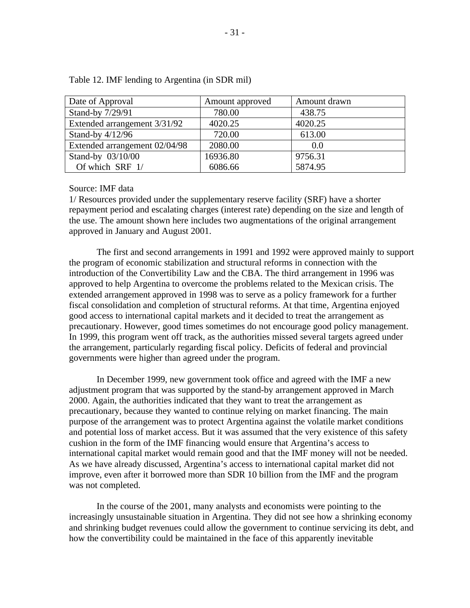| Date of Approval              | Amount approved | Amount drawn |
|-------------------------------|-----------------|--------------|
| Stand-by 7/29/91              | 780.00          | 438.75       |
| Extended arrangement 3/31/92  | 4020.25         | 4020.25      |
| Stand-by $4/12/96$            | 720.00          | 613.00       |
| Extended arrangement 02/04/98 | 2080.00         | 0.0          |
| Stand-by 03/10/00             | 16936.80        | 9756.31      |
| Of which SRF 1/               | 6086.66         | 5874.95      |

Table 12. IMF lending to Argentina (in SDR mil)

Source: IMF data

1/ Resources provided under the supplementary reserve facility (SRF) have a shorter repayment period and escalating charges (interest rate) depending on the size and length of the use. The amount shown here includes two augmentations of the original arrangement approved in January and August 2001.

The first and second arrangements in 1991 and 1992 were approved mainly to support the program of economic stabilization and structural reforms in connection with the introduction of the Convertibility Law and the CBA. The third arrangement in 1996 was approved to help Argentina to overcome the problems related to the Mexican crisis. The extended arrangement approved in 1998 was to serve as a policy framework for a further fiscal consolidation and completion of structural reforms. At that time, Argentina enjoyed good access to international capital markets and it decided to treat the arrangement as precautionary. However, good times sometimes do not encourage good policy management. In 1999, this program went off track, as the authorities missed several targets agreed under the arrangement, particularly regarding fiscal policy. Deficits of federal and provincial governments were higher than agreed under the program.

In December 1999, new government took office and agreed with the IMF a new adjustment program that was supported by the stand-by arrangement approved in March 2000. Again, the authorities indicated that they want to treat the arrangement as precautionary, because they wanted to continue relying on market financing. The main purpose of the arrangement was to protect Argentina against the volatile market conditions and potential loss of market access. But it was assumed that the very existence of this safety cushion in the form of the IMF financing would ensure that Argentina's access to international capital market would remain good and that the IMF money will not be needed. As we have already discussed, Argentina's access to international capital market did not improve, even after it borrowed more than SDR 10 billion from the IMF and the program was not completed.

In the course of the 2001, many analysts and economists were pointing to the increasingly unsustainable situation in Argentina. They did not see how a shrinking economy and shrinking budget revenues could allow the government to continue servicing its debt, and how the convertibility could be maintained in the face of this apparently inevitable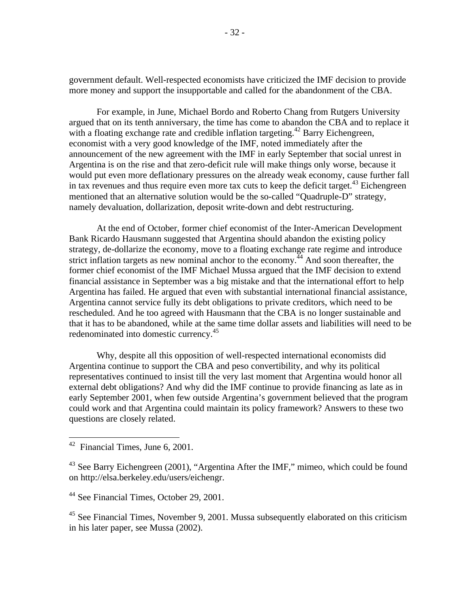government default. Well-respected economists have criticized the IMF decision to provide more money and support the insupportable and called for the abandonment of the CBA.

For example, in June, Michael Bordo and Roberto Chang from Rutgers University argued that on its tenth anniversary, the time has come to abandon the CBA and to replace it with a floating exchange rate and credible inflation targeting.<sup>42</sup> Barry Eichengreen, economist with a very good knowledge of the IMF, noted immediately after the announcement of the new agreement with the IMF in early September that social unrest in Argentina is on the rise and that zero-deficit rule will make things only worse, because it would put even more deflationary pressures on the already weak economy, cause further fall in tax revenues and thus require even more tax cuts to keep the deficit target.<sup>43</sup> Eichengreen mentioned that an alternative solution would be the so-called "Quadruple-D" strategy, namely devaluation, dollarization, deposit write-down and debt restructuring.

At the end of October, former chief economist of the Inter-American Development Bank Ricardo Hausmann suggested that Argentina should abandon the existing policy strategy, de-dollarize the economy, move to a floating exchange rate regime and introduce strict inflation targets as new nominal anchor to the economy.<sup> $44$ </sup> And soon thereafter, the former chief economist of the IMF Michael Mussa argued that the IMF decision to extend financial assistance in September was a big mistake and that the international effort to help Argentina has failed. He argued that even with substantial international financial assistance, Argentina cannot service fully its debt obligations to private creditors, which need to be rescheduled. And he too agreed with Hausmann that the CBA is no longer sustainable and that it has to be abandoned, while at the same time dollar assets and liabilities will need to be redenominated into domestic currency.<sup>45</sup>

Why, despite all this opposition of well-respected international economists did Argentina continue to support the CBA and peso convertibility, and why its political representatives continued to insist till the very last moment that Argentina would honor all external debt obligations? And why did the IMF continue to provide financing as late as in early September 2001, when few outside Argentina's government believed that the program could work and that Argentina could maintain its policy framework? Answers to these two questions are closely related.

 $42$  Financial Times, June 6, 2001.

<sup>&</sup>lt;sup>43</sup> See Barry Eichengreen (2001), "Argentina After the IMF," mimeo, which could be found on http://elsa.berkeley.edu/users/eichengr.

<sup>&</sup>lt;sup>44</sup> See Financial Times, October 29, 2001.

 $45$  See Financial Times, November 9, 2001. Mussa subsequently elaborated on this criticism in his later paper, see Mussa (2002).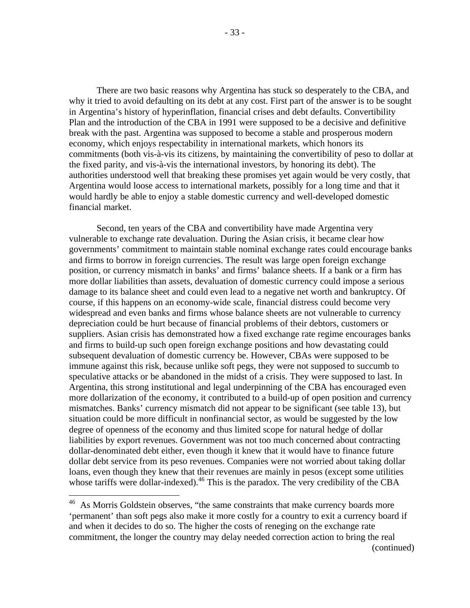There are two basic reasons why Argentina has stuck so desperately to the CBA, and why it tried to avoid defaulting on its debt at any cost. First part of the answer is to be sought in Argentina's history of hyperinflation, financial crises and debt defaults. Convertibility Plan and the introduction of the CBA in 1991 were supposed to be a decisive and definitive break with the past. Argentina was supposed to become a stable and prosperous modern economy, which enjoys respectability in international markets, which honors its commitments (both vis-à-vis its citizens, by maintaining the convertibility of peso to dollar at the fixed parity, and vis-à-vis the international investors, by honoring its debt). The authorities understood well that breaking these promises yet again would be very costly, that Argentina would loose access to international markets, possibly for a long time and that it would hardly be able to enjoy a stable domestic currency and well-developed domestic financial market.

Second, ten years of the CBA and convertibility have made Argentina very vulnerable to exchange rate devaluation. During the Asian crisis, it became clear how governments' commitment to maintain stable nominal exchange rates could encourage banks and firms to borrow in foreign currencies. The result was large open foreign exchange position, or currency mismatch in banks' and firms' balance sheets. If a bank or a firm has more dollar liabilities than assets, devaluation of domestic currency could impose a serious damage to its balance sheet and could even lead to a negative net worth and bankruptcy. Of course, if this happens on an economy-wide scale, financial distress could become very widespread and even banks and firms whose balance sheets are not vulnerable to currency depreciation could be hurt because of financial problems of their debtors, customers or suppliers. Asian crisis has demonstrated how a fixed exchange rate regime encourages banks and firms to build-up such open foreign exchange positions and how devastating could subsequent devaluation of domestic currency be. However, CBAs were supposed to be immune against this risk, because unlike soft pegs, they were not supposed to succumb to speculative attacks or be abandoned in the midst of a crisis. They were supposed to last. In Argentina, this strong institutional and legal underpinning of the CBA has encouraged even more dollarization of the economy, it contributed to a build-up of open position and currency mismatches. Banks' currency mismatch did not appear to be significant (see table 13), but situation could be more difficult in nonfinancial sector, as would be suggested by the low degree of openness of the economy and thus limited scope for natural hedge of dollar liabilities by export revenues. Government was not too much concerned about contracting dollar-denominated debt either, even though it knew that it would have to finance future dollar debt service from its peso revenues. Companies were not worried about taking dollar loans, even though they knew that their revenues are mainly in pesos (except some utilities whose tariffs were dollar-indexed).<sup>46</sup> This is the paradox. The very credibility of the CBA

<u>.</u>

<sup>&</sup>lt;sup>46</sup> As Morris Goldstein observes, "the same constraints that make currency boards more 'permanent' than soft pegs also make it more costly for a country to exit a currency board if and when it decides to do so. The higher the costs of reneging on the exchange rate commitment, the longer the country may delay needed correction action to bring the real (continued)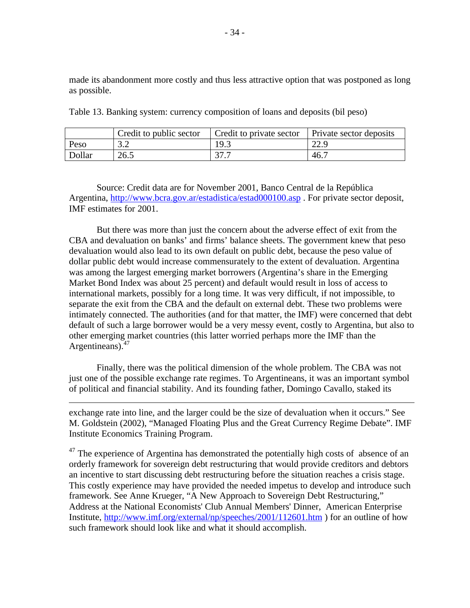made its abandonment more costly and thus less attractive option that was postponed as long as possible.

|        | Credit to public sector | Credit to private sector   Private sector deposits |      |
|--------|-------------------------|----------------------------------------------------|------|
| Peso   | 3.2                     | 19.3                                               | 22.9 |
| Dollar | 26.5                    | 37.7                                               | 46.7 |

Table 13. Banking system: currency composition of loans and deposits (bil peso)

Source: Credit data are for November 2001, Banco Central de la República Argentina, http://www.bcra.gov.ar/estadistica/estad000100.asp. For private sector deposit, IMF estimates for 2001.

But there was more than just the concern about the adverse effect of exit from the CBA and devaluation on banks' and firms' balance sheets. The government knew that peso devaluation would also lead to its own default on public debt, because the peso value of dollar public debt would increase commensurately to the extent of devaluation. Argentina was among the largest emerging market borrowers (Argentina's share in the Emerging Market Bond Index was about 25 percent) and default would result in loss of access to international markets, possibly for a long time. It was very difficult, if not impossible, to separate the exit from the CBA and the default on external debt. These two problems were intimately connected. The authorities (and for that matter, the IMF) were concerned that debt default of such a large borrower would be a very messy event, costly to Argentina, but also to other emerging market countries (this latter worried perhaps more the IMF than the Argentineans). $47$ 

Finally, there was the political dimension of the whole problem. The CBA was not just one of the possible exchange rate regimes. To Argentineans, it was an important symbol of political and financial stability. And its founding father, Domingo Cavallo, staked its

 $\overline{a}$ 

exchange rate into line, and the larger could be the size of devaluation when it occurs." See M. Goldstein (2002), "Managed Floating Plus and the Great Currency Regime Debate". IMF Institute Economics Training Program.

 $47$  The experience of Argentina has demonstrated the potentially high costs of absence of an orderly framework for sovereign debt restructuring that would provide creditors and debtors an incentive to start discussing debt restructuring before the situation reaches a crisis stage. This costly experience may have provided the needed impetus to develop and introduce such framework. See Anne Krueger, "A New Approach to Sovereign Debt Restructuring," Address at the National Economists' Club Annual Members' Dinner, American Enterprise Institute, http://www.imf.org/external/np/speeches/2001/112601.htm ) for an outline of how such framework should look like and what it should accomplish.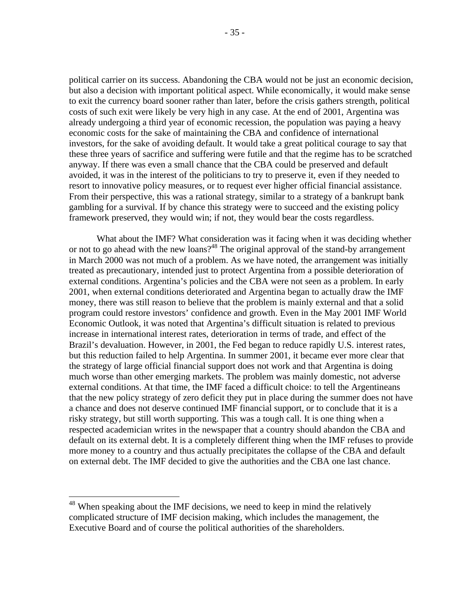political carrier on its success. Abandoning the CBA would not be just an economic decision, but also a decision with important political aspect. While economically, it would make sense to exit the currency board sooner rather than later, before the crisis gathers strength, political costs of such exit were likely be very high in any case. At the end of 2001, Argentina was already undergoing a third year of economic recession, the population was paying a heavy economic costs for the sake of maintaining the CBA and confidence of international investors, for the sake of avoiding default. It would take a great political courage to say that these three years of sacrifice and suffering were futile and that the regime has to be scratched anyway. If there was even a small chance that the CBA could be preserved and default avoided, it was in the interest of the politicians to try to preserve it, even if they needed to resort to innovative policy measures, or to request ever higher official financial assistance. From their perspective, this was a rational strategy, similar to a strategy of a bankrupt bank gambling for a survival. If by chance this strategy were to succeed and the existing policy framework preserved, they would win; if not, they would bear the costs regardless.

What about the IMF? What consideration was it facing when it was deciding whether or not to go ahead with the new loans?<sup>48</sup> The original approval of the stand-by arrangement in March 2000 was not much of a problem. As we have noted, the arrangement was initially treated as precautionary, intended just to protect Argentina from a possible deterioration of external conditions. Argentina's policies and the CBA were not seen as a problem. In early 2001, when external conditions deteriorated and Argentina began to actually draw the IMF money, there was still reason to believe that the problem is mainly external and that a solid program could restore investors' confidence and growth. Even in the May 2001 IMF World Economic Outlook, it was noted that Argentina's difficult situation is related to previous increase in international interest rates, deterioration in terms of trade, and effect of the Brazil's devaluation. However, in 2001, the Fed began to reduce rapidly U.S. interest rates, but this reduction failed to help Argentina. In summer 2001, it became ever more clear that the strategy of large official financial support does not work and that Argentina is doing much worse than other emerging markets. The problem was mainly domestic, not adverse external conditions. At that time, the IMF faced a difficult choice: to tell the Argentineans that the new policy strategy of zero deficit they put in place during the summer does not have a chance and does not deserve continued IMF financial support, or to conclude that it is a risky strategy, but still worth supporting. This was a tough call. It is one thing when a respected academician writes in the newspaper that a country should abandon the CBA and default on its external debt. It is a completely different thing when the IMF refuses to provide more money to a country and thus actually precipitates the collapse of the CBA and default on external debt. The IMF decided to give the authorities and the CBA one last chance.

 $48$  When speaking about the IMF decisions, we need to keep in mind the relatively complicated structure of IMF decision making, which includes the management, the Executive Board and of course the political authorities of the shareholders.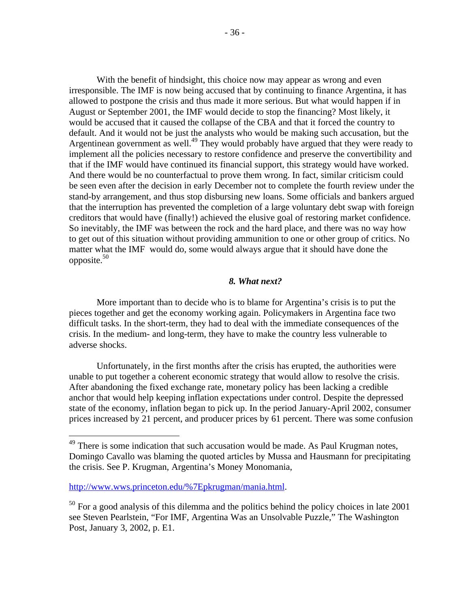With the benefit of hindsight, this choice now may appear as wrong and even irresponsible. The IMF is now being accused that by continuing to finance Argentina, it has allowed to postpone the crisis and thus made it more serious. But what would happen if in August or September 2001, the IMF would decide to stop the financing? Most likely, it would be accused that it caused the collapse of the CBA and that it forced the country to default. And it would not be just the analysts who would be making such accusation, but the Argentinean government as well.<sup>49</sup> They would probably have argued that they were ready to implement all the policies necessary to restore confidence and preserve the convertibility and that if the IMF would have continued its financial support, this strategy would have worked. And there would be no counterfactual to prove them wrong. In fact, similar criticism could be seen even after the decision in early December not to complete the fourth review under the stand-by arrangement, and thus stop disbursing new loans. Some officials and bankers argued that the interruption has prevented the completion of a large voluntary debt swap with foreign creditors that would have (finally!) achieved the elusive goal of restoring market confidence. So inevitably, the IMF was between the rock and the hard place, and there was no way how to get out of this situation without providing ammunition to one or other group of critics. No matter what the IMF would do, some would always argue that it should have done the opposite. $50$ 

#### *8. What next?*

More important than to decide who is to blame for Argentina's crisis is to put the pieces together and get the economy working again. Policymakers in Argentina face two difficult tasks. In the short-term, they had to deal with the immediate consequences of the crisis. In the medium- and long-term, they have to make the country less vulnerable to adverse shocks.

Unfortunately, in the first months after the crisis has erupted, the authorities were unable to put together a coherent economic strategy that would allow to resolve the crisis. After abandoning the fixed exchange rate, monetary policy has been lacking a credible anchor that would help keeping inflation expectations under control. Despite the depressed state of the economy, inflation began to pick up. In the period January-April 2002, consumer prices increased by 21 percent, and producer prices by 61 percent. There was some confusion

 $49$  There is some indication that such accusation would be made. As Paul Krugman notes, Domingo Cavallo was blaming the quoted articles by Mussa and Hausmann for precipitating the crisis. See P. Krugman, Argentina's Money Monomania,

http://www.wws.princeton.edu/%7Epkrugman/mania.html.

<sup>&</sup>lt;sup>50</sup> For a good analysis of this dilemma and the politics behind the policy choices in late 2001 see Steven Pearlstein, "For IMF, Argentina Was an Unsolvable Puzzle," The Washington Post, January 3, 2002, p. E1.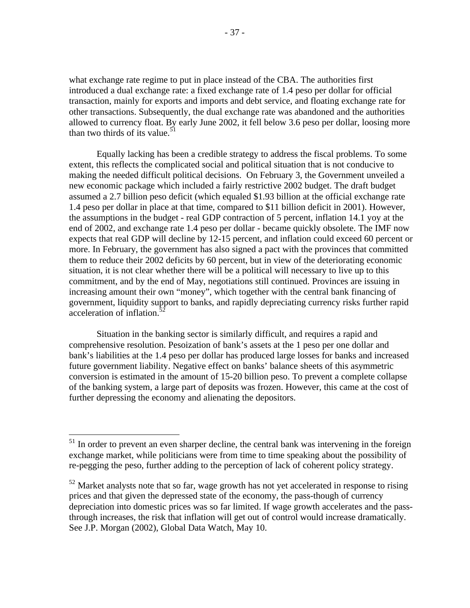what exchange rate regime to put in place instead of the CBA. The authorities first introduced a dual exchange rate: a fixed exchange rate of 1.4 peso per dollar for official transaction, mainly for exports and imports and debt service, and floating exchange rate for other transactions. Subsequently, the dual exchange rate was abandoned and the authorities allowed to currency float. By early June 2002, it fell below 3.6 peso per dollar, loosing more than two thirds of its value.<sup>51</sup>

Equally lacking has been a credible strategy to address the fiscal problems. To some extent, this reflects the complicated social and political situation that is not conducive to making the needed difficult political decisions. On February 3, the Government unveiled a new economic package which included a fairly restrictive 2002 budget. The draft budget assumed a 2.7 billion peso deficit (which equaled \$1.93 billion at the official exchange rate 1.4 peso per dollar in place at that time, compared to \$11 billion deficit in 2001). However, the assumptions in the budget - real GDP contraction of 5 percent, inflation 14.1 yoy at the end of 2002, and exchange rate 1.4 peso per dollar - became quickly obsolete. The IMF now expects that real GDP will decline by 12-15 percent, and inflation could exceed 60 percent or more. In February, the government has also signed a pact with the provinces that committed them to reduce their 2002 deficits by 60 percent, but in view of the deteriorating economic situation, it is not clear whether there will be a political will necessary to live up to this commitment, and by the end of May, negotiations still continued. Provinces are issuing in increasing amount their own "money", which together with the central bank financing of government, liquidity support to banks, and rapidly depreciating currency risks further rapid acceleration of inflation.<sup>5</sup>

Situation in the banking sector is similarly difficult, and requires a rapid and comprehensive resolution. Pesoization of bank's assets at the 1 peso per one dollar and bank's liabilities at the 1.4 peso per dollar has produced large losses for banks and increased future government liability. Negative effect on banks' balance sheets of this asymmetric conversion is estimated in the amount of 15-20 billion peso. To prevent a complete collapse of the banking system, a large part of deposits was frozen. However, this came at the cost of further depressing the economy and alienating the depositors.

 $51$  In order to prevent an even sharper decline, the central bank was intervening in the foreign exchange market, while politicians were from time to time speaking about the possibility of re-pegging the peso, further adding to the perception of lack of coherent policy strategy.

 $52$  Market analysts note that so far, wage growth has not yet accelerated in response to rising prices and that given the depressed state of the economy, the pass-though of currency depreciation into domestic prices was so far limited. If wage growth accelerates and the passthrough increases, the risk that inflation will get out of control would increase dramatically. See J.P. Morgan (2002), Global Data Watch, May 10.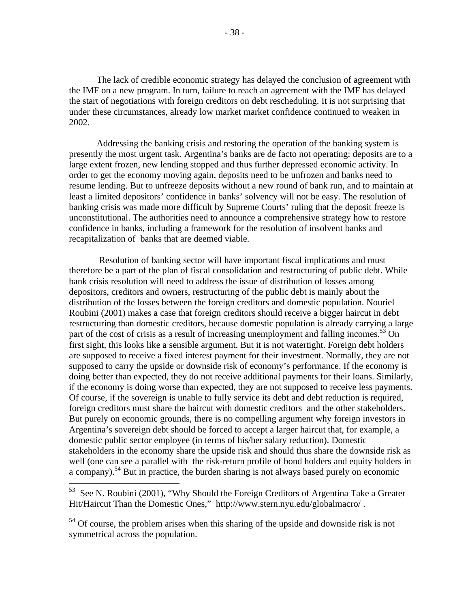The lack of credible economic strategy has delayed the conclusion of agreement with the IMF on a new program. In turn, failure to reach an agreement with the IMF has delayed the start of negotiations with foreign creditors on debt rescheduling. It is not surprising that under these circumstances, already low market market confidence continued to weaken in 2002.

Addressing the banking crisis and restoring the operation of the banking system is presently the most urgent task. Argentina's banks are de facto not operating: deposits are to a large extent frozen, new lending stopped and thus further depressed economic activity. In order to get the economy moving again, deposits need to be unfrozen and banks need to resume lending. But to unfreeze deposits without a new round of bank run, and to maintain at least a limited depositors' confidence in banks' solvency will not be easy. The resolution of banking crisis was made more difficult by Supreme Courts' ruling that the deposit freeze is unconstitutional. The authorities need to announce a comprehensive strategy how to restore confidence in banks, including a framework for the resolution of insolvent banks and recapitalization of banks that are deemed viable.

 Resolution of banking sector will have important fiscal implications and must therefore be a part of the plan of fiscal consolidation and restructuring of public debt. While bank crisis resolution will need to address the issue of distribution of losses among depositors, creditors and owners, restructuring of the public debt is mainly about the distribution of the losses between the foreign creditors and domestic population. Nouriel Roubini (2001) makes a case that foreign creditors should receive a bigger haircut in debt restructuring than domestic creditors, because domestic population is already carrying a large part of the cost of crisis as a result of increasing unemployment and falling incomes.<sup>53</sup> On first sight, this looks like a sensible argument. But it is not watertight. Foreign debt holders are supposed to receive a fixed interest payment for their investment. Normally, they are not supposed to carry the upside or downside risk of economy's performance. If the economy is doing better than expected, they do not receive additional payments for their loans. Similarly, if the economy is doing worse than expected, they are not supposed to receive less payments. Of course, if the sovereign is unable to fully service its debt and debt reduction is required, foreign creditors must share the haircut with domestic creditors and the other stakeholders. But purely on economic grounds, there is no compelling argument why foreign investors in Argentina's sovereign debt should be forced to accept a larger haircut that, for example, a domestic public sector employee (in terms of his/her salary reduction). Domestic stakeholders in the economy share the upside risk and should thus share the downside risk as well (one can see a parallel with the risk-return profile of bond holders and equity holders in a company).<sup>54</sup> But in practice, the burden sharing is not always based purely on economic

<u>.</u>

See N. Roubini (2001), "Why Should the Foreign Creditors of Argentina Take a Greater Hit/Haircut Than the Domestic Ones," http://www.stern.nyu.edu/globalmacro/ .

<sup>&</sup>lt;sup>54</sup> Of course, the problem arises when this sharing of the upside and downside risk is not symmetrical across the population.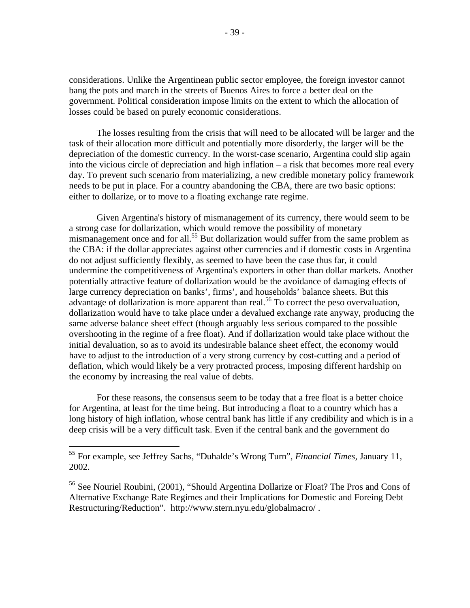considerations. Unlike the Argentinean public sector employee, the foreign investor cannot bang the pots and march in the streets of Buenos Aires to force a better deal on the government. Political consideration impose limits on the extent to which the allocation of losses could be based on purely economic considerations.

The losses resulting from the crisis that will need to be allocated will be larger and the task of their allocation more difficult and potentially more disorderly, the larger will be the depreciation of the domestic currency. In the worst-case scenario, Argentina could slip again into the vicious circle of depreciation and high inflation – a risk that becomes more real every day. To prevent such scenario from materializing, a new credible monetary policy framework needs to be put in place. For a country abandoning the CBA, there are two basic options: either to dollarize, or to move to a floating exchange rate regime.

Given Argentina's history of mismanagement of its currency, there would seem to be a strong case for dollarization, which would remove the possibility of monetary mismanagement once and for all.<sup>55</sup> But dollarization would suffer from the same problem as the CBA: if the dollar appreciates against other currencies and if domestic costs in Argentina do not adjust sufficiently flexibly, as seemed to have been the case thus far, it could undermine the competitiveness of Argentina's exporters in other than dollar markets. Another potentially attractive feature of dollarization would be the avoidance of damaging effects of large currency depreciation on banks', firms', and households' balance sheets. But this advantage of dollarization is more apparent than real.<sup>56</sup> To correct the peso overvaluation, dollarization would have to take place under a devalued exchange rate anyway, producing the same adverse balance sheet effect (though arguably less serious compared to the possible overshooting in the regime of a free float). And if dollarization would take place without the initial devaluation, so as to avoid its undesirable balance sheet effect, the economy would have to adjust to the introduction of a very strong currency by cost-cutting and a period of deflation, which would likely be a very protracted process, imposing different hardship on the economy by increasing the real value of debts.

For these reasons, the consensus seem to be today that a free float is a better choice for Argentina, at least for the time being. But introducing a float to a country which has a long history of high inflation, whose central bank has little if any credibility and which is in a deep crisis will be a very difficult task. Even if the central bank and the government do

<sup>55</sup> For example, see Jeffrey Sachs, "Duhalde's Wrong Turn", *Financial Times,* January 11, 2002.

<sup>56</sup> See Nouriel Roubini, (2001), "Should Argentina Dollarize or Float? The Pros and Cons of Alternative Exchange Rate Regimes and their Implications for Domestic and Foreing Debt Restructuring/Reduction". http://www.stern.nyu.edu/globalmacro/ .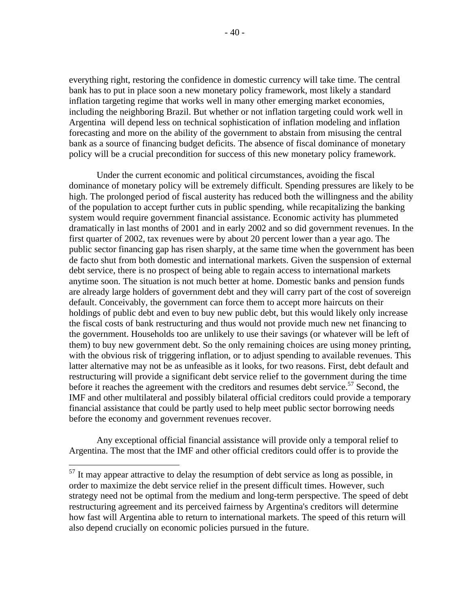everything right, restoring the confidence in domestic currency will take time. The central bank has to put in place soon a new monetary policy framework, most likely a standard inflation targeting regime that works well in many other emerging market economies, including the neighboring Brazil. But whether or not inflation targeting could work well in Argentina will depend less on technical sophistication of inflation modeling and inflation forecasting and more on the ability of the government to abstain from misusing the central bank as a source of financing budget deficits. The absence of fiscal dominance of monetary policy will be a crucial precondition for success of this new monetary policy framework.

Under the current economic and political circumstances, avoiding the fiscal dominance of monetary policy will be extremely difficult. Spending pressures are likely to be high. The prolonged period of fiscal austerity has reduced both the willingness and the ability of the population to accept further cuts in public spending, while recapitalizing the banking system would require government financial assistance. Economic activity has plummeted dramatically in last months of 2001 and in early 2002 and so did government revenues. In the first quarter of 2002, tax revenues were by about 20 percent lower than a year ago. The public sector financing gap has risen sharply, at the same time when the government has been de facto shut from both domestic and international markets. Given the suspension of external debt service, there is no prospect of being able to regain access to international markets anytime soon. The situation is not much better at home. Domestic banks and pension funds are already large holders of government debt and they will carry part of the cost of sovereign default. Conceivably, the government can force them to accept more haircuts on their holdings of public debt and even to buy new public debt, but this would likely only increase the fiscal costs of bank restructuring and thus would not provide much new net financing to the government. Households too are unlikely to use their savings (or whatever will be left of them) to buy new government debt. So the only remaining choices are using money printing, with the obvious risk of triggering inflation, or to adjust spending to available revenues. This latter alternative may not be as unfeasible as it looks, for two reasons. First, debt default and restructuring will provide a significant debt service relief to the government during the time before it reaches the agreement with the creditors and resumes debt service.<sup>57</sup> Second, the IMF and other multilateral and possibly bilateral official creditors could provide a temporary financial assistance that could be partly used to help meet public sector borrowing needs before the economy and government revenues recover.

Any exceptional official financial assistance will provide only a temporal relief to Argentina. The most that the IMF and other official creditors could offer is to provide the

 $57$  It may appear attractive to delay the resumption of debt service as long as possible, in order to maximize the debt service relief in the present difficult times. However, such strategy need not be optimal from the medium and long-term perspective. The speed of debt restructuring agreement and its perceived fairness by Argentina's creditors will determine how fast will Argentina able to return to international markets. The speed of this return will also depend crucially on economic policies pursued in the future.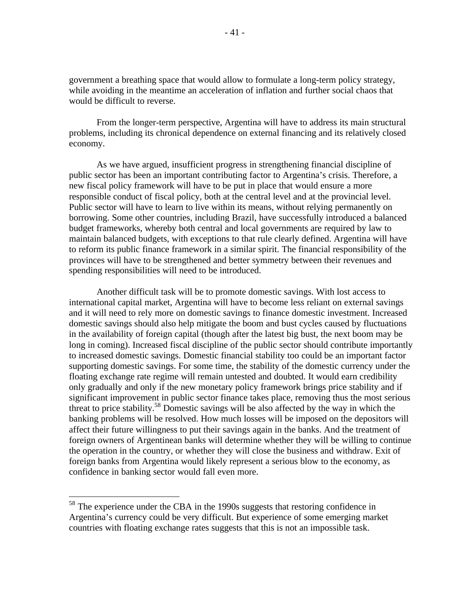government a breathing space that would allow to formulate a long-term policy strategy, while avoiding in the meantime an acceleration of inflation and further social chaos that would be difficult to reverse.

From the longer-term perspective, Argentina will have to address its main structural problems, including its chronical dependence on external financing and its relatively closed economy.

As we have argued, insufficient progress in strengthening financial discipline of public sector has been an important contributing factor to Argentina's crisis. Therefore, a new fiscal policy framework will have to be put in place that would ensure a more responsible conduct of fiscal policy, both at the central level and at the provincial level. Public sector will have to learn to live within its means, without relying permanently on borrowing. Some other countries, including Brazil, have successfully introduced a balanced budget frameworks, whereby both central and local governments are required by law to maintain balanced budgets, with exceptions to that rule clearly defined. Argentina will have to reform its public finance framework in a similar spirit. The financial responsibility of the provinces will have to be strengthened and better symmetry between their revenues and spending responsibilities will need to be introduced.

Another difficult task will be to promote domestic savings. With lost access to international capital market, Argentina will have to become less reliant on external savings and it will need to rely more on domestic savings to finance domestic investment. Increased domestic savings should also help mitigate the boom and bust cycles caused by fluctuations in the availability of foreign capital (though after the latest big bust, the next boom may be long in coming). Increased fiscal discipline of the public sector should contribute importantly to increased domestic savings. Domestic financial stability too could be an important factor supporting domestic savings. For some time, the stability of the domestic currency under the floating exchange rate regime will remain untested and doubted. It would earn credibility only gradually and only if the new monetary policy framework brings price stability and if significant improvement in public sector finance takes place, removing thus the most serious threat to price stability.<sup>58</sup> Domestic savings will be also affected by the way in which the banking problems will be resolved. How much losses will be imposed on the depositors will affect their future willingness to put their savings again in the banks. And the treatment of foreign owners of Argentinean banks will determine whether they will be willing to continue the operation in the country, or whether they will close the business and withdraw. Exit of foreign banks from Argentina would likely represent a serious blow to the economy, as confidence in banking sector would fall even more.

<sup>&</sup>lt;sup>58</sup> The experience under the CBA in the 1990s suggests that restoring confidence in Argentina's currency could be very difficult. But experience of some emerging market countries with floating exchange rates suggests that this is not an impossible task.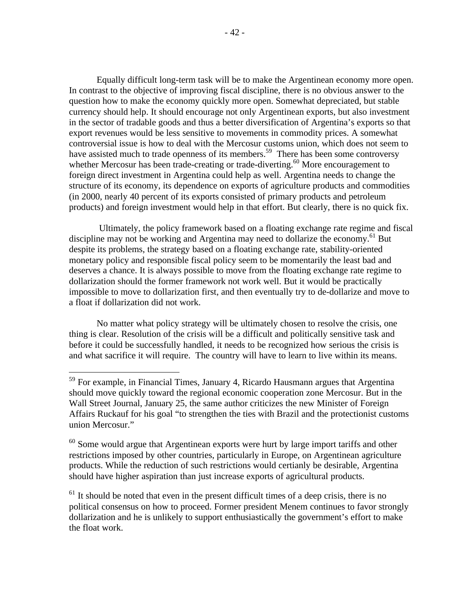Equally difficult long-term task will be to make the Argentinean economy more open. In contrast to the objective of improving fiscal discipline, there is no obvious answer to the question how to make the economy quickly more open. Somewhat depreciated, but stable currency should help. It should encourage not only Argentinean exports, but also investment in the sector of tradable goods and thus a better diversification of Argentina's exports so that export revenues would be less sensitive to movements in commodity prices. A somewhat controversial issue is how to deal with the Mercosur customs union, which does not seem to have assisted much to trade openness of its members.<sup>59</sup> There has been some controversy whether Mercosur has been trade-creating or trade-diverting.<sup>60</sup> More encouragement to foreign direct investment in Argentina could help as well. Argentina needs to change the structure of its economy, its dependence on exports of agriculture products and commodities (in 2000, nearly 40 percent of its exports consisted of primary products and petroleum products) and foreign investment would help in that effort. But clearly, there is no quick fix.

 Ultimately, the policy framework based on a floating exchange rate regime and fiscal discipline may not be working and Argentina may need to dollarize the economy.<sup>61</sup> But despite its problems, the strategy based on a floating exchange rate, stability-oriented monetary policy and responsible fiscal policy seem to be momentarily the least bad and deserves a chance. It is always possible to move from the floating exchange rate regime to dollarization should the former framework not work well. But it would be practically impossible to move to dollarization first, and then eventually try to de-dollarize and move to a float if dollarization did not work.

No matter what policy strategy will be ultimately chosen to resolve the crisis, one thing is clear. Resolution of the crisis will be a difficult and politically sensitive task and before it could be successfully handled, it needs to be recognized how serious the crisis is and what sacrifice it will require. The country will have to learn to live within its means.

-

<sup>&</sup>lt;sup>59</sup> For example, in Financial Times, January 4, Ricardo Hausmann argues that Argentina should move quickly toward the regional economic cooperation zone Mercosur. But in the Wall Street Journal, January 25, the same author criticizes the new Minister of Foreign Affairs Ruckauf for his goal "to strengthen the ties with Brazil and the protectionist customs union Mercosur."

 $60$  Some would argue that Argentinean exports were hurt by large import tariffs and other restrictions imposed by other countries, particularly in Europe, on Argentinean agriculture products. While the reduction of such restrictions would certianly be desirable, Argentina should have higher aspiration than just increase exports of agricultural products.

 $<sup>61</sup>$  It should be noted that even in the present difficult times of a deep crisis, there is no</sup> political consensus on how to proceed. Former president Menem continues to favor strongly dollarization and he is unlikely to support enthusiastically the government's effort to make the float work.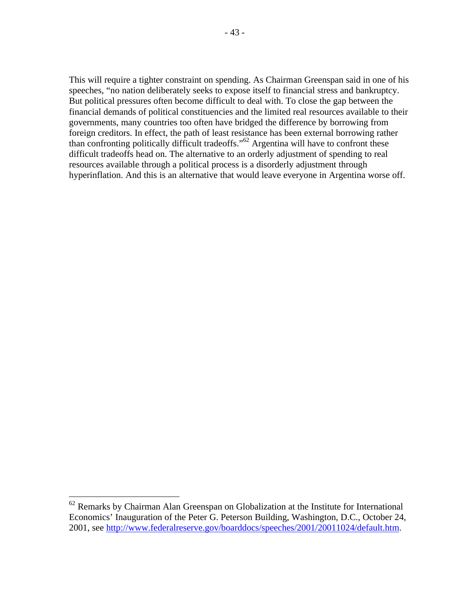This will require a tighter constraint on spending. As Chairman Greenspan said in one of his speeches, "no nation deliberately seeks to expose itself to financial stress and bankruptcy. But political pressures often become difficult to deal with. To close the gap between the financial demands of political constituencies and the limited real resources available to their governments, many countries too often have bridged the difference by borrowing from foreign creditors. In effect, the path of least resistance has been external borrowing rather than confronting politically difficult tradeoffs."<sup>62</sup> Argentina will have to confront these difficult tradeoffs head on. The alternative to an orderly adjustment of spending to real resources available through a political process is a disorderly adjustment through hyperinflation. And this is an alternative that would leave everyone in Argentina worse off.

 $62$  Remarks by Chairman Alan Greenspan on Globalization at the Institute for International Economics' Inauguration of the Peter G. Peterson Building, Washington, D.C., October 24, 2001, see http://www.federalreserve.gov/boarddocs/speeches/2001/20011024/default.htm.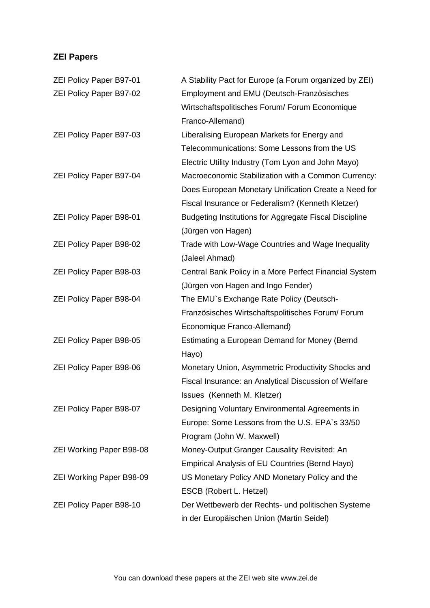# **ZEI Papers**

| <b>ZEI Policy Paper B97-01</b>  | A Stability Pact for Europe (a Forum organized by ZEI)        |
|---------------------------------|---------------------------------------------------------------|
| ZEI Policy Paper B97-02         | Employment and EMU (Deutsch-Französisches                     |
|                                 | Wirtschaftspolitisches Forum/ Forum Economique                |
|                                 | Franco-Allemand)                                              |
| ZEI Policy Paper B97-03         | Liberalising European Markets for Energy and                  |
|                                 | Telecommunications: Some Lessons from the US                  |
|                                 | Electric Utility Industry (Tom Lyon and John Mayo)            |
| <b>ZEI Policy Paper B97-04</b>  | Macroeconomic Stabilization with a Common Currency:           |
|                                 | Does European Monetary Unification Create a Need for          |
|                                 | Fiscal Insurance or Federalism? (Kenneth Kletzer)             |
| <b>ZEI Policy Paper B98-01</b>  | <b>Budgeting Institutions for Aggregate Fiscal Discipline</b> |
|                                 | (Jürgen von Hagen)                                            |
| <b>ZEI Policy Paper B98-02</b>  | Trade with Low-Wage Countries and Wage Inequality             |
|                                 | (Jaleel Ahmad)                                                |
| ZEI Policy Paper B98-03         | Central Bank Policy in a More Perfect Financial System        |
|                                 | (Jürgen von Hagen and Ingo Fender)                            |
| <b>ZEI Policy Paper B98-04</b>  | The EMU's Exchange Rate Policy (Deutsch-                      |
|                                 | Französisches Wirtschaftspolitisches Forum/Forum              |
|                                 | Economique Franco-Allemand)                                   |
| ZEI Policy Paper B98-05         | Estimating a European Demand for Money (Bernd                 |
|                                 | Hayo)                                                         |
| <b>ZEI Policy Paper B98-06</b>  | Monetary Union, Asymmetric Productivity Shocks and            |
|                                 | Fiscal Insurance: an Analytical Discussion of Welfare         |
|                                 | Issues (Kenneth M. Kletzer)                                   |
| <b>ZEI Policy Paper B98-07</b>  | Designing Voluntary Environmental Agreements in               |
|                                 | Europe: Some Lessons from the U.S. EPA's 33/50                |
|                                 | Program (John W. Maxwell)                                     |
| <b>ZEI Working Paper B98-08</b> | Money-Output Granger Causality Revisited: An                  |
|                                 | Empirical Analysis of EU Countries (Bernd Hayo)               |
| <b>ZEI Working Paper B98-09</b> | US Monetary Policy AND Monetary Policy and the                |
|                                 | ESCB (Robert L. Hetzel)                                       |
| <b>ZEI Policy Paper B98-10</b>  | Der Wettbewerb der Rechts- und politischen Systeme            |
|                                 | in der Europäischen Union (Martin Seidel)                     |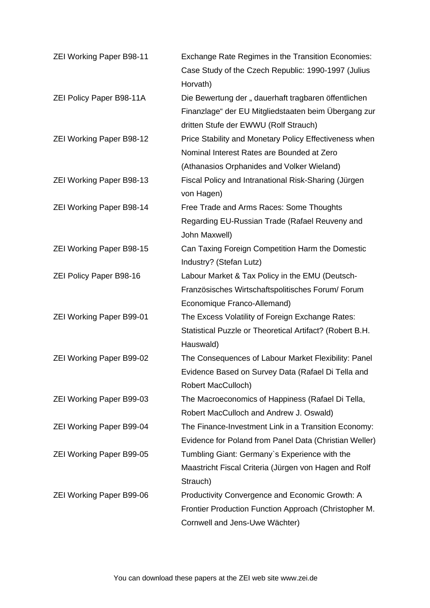| <b>ZEI Working Paper B98-11</b> | <b>Exchange Rate Regimes in the Transition Economies:</b><br>Case Study of the Czech Republic: 1990-1997 (Julius |
|---------------------------------|------------------------------------------------------------------------------------------------------------------|
|                                 | Horvath)                                                                                                         |
| ZEI Policy Paper B98-11A        | Die Bewertung der "dauerhaft tragbaren öffentlichen                                                              |
|                                 | Finanzlage" der EU Mitgliedstaaten beim Übergang zur                                                             |
|                                 | dritten Stufe der EWWU (Rolf Strauch)                                                                            |
| <b>ZEI Working Paper B98-12</b> | Price Stability and Monetary Policy Effectiveness when                                                           |
|                                 | Nominal Interest Rates are Bounded at Zero                                                                       |
|                                 | (Athanasios Orphanides and Volker Wieland)                                                                       |
| <b>ZEI Working Paper B98-13</b> | Fiscal Policy and Intranational Risk-Sharing (Jürgen                                                             |
|                                 | von Hagen)                                                                                                       |
| <b>ZEI Working Paper B98-14</b> | Free Trade and Arms Races: Some Thoughts                                                                         |
|                                 | Regarding EU-Russian Trade (Rafael Reuveny and                                                                   |
|                                 | John Maxwell)                                                                                                    |
| <b>ZEI Working Paper B98-15</b> | Can Taxing Foreign Competition Harm the Domestic                                                                 |
|                                 | Industry? (Stefan Lutz)                                                                                          |
| <b>ZEI Policy Paper B98-16</b>  | Labour Market & Tax Policy in the EMU (Deutsch-                                                                  |
|                                 | Französisches Wirtschaftspolitisches Forum/Forum                                                                 |
|                                 | Economique Franco-Allemand)                                                                                      |
| <b>ZEI Working Paper B99-01</b> | The Excess Volatility of Foreign Exchange Rates:                                                                 |
|                                 | Statistical Puzzle or Theoretical Artifact? (Robert B.H.                                                         |
|                                 | Hauswald)                                                                                                        |
| <b>ZEI Working Paper B99-02</b> | The Consequences of Labour Market Flexibility: Panel                                                             |
|                                 | Evidence Based on Survey Data (Rafael Di Tella and                                                               |
|                                 | Robert MacCulloch)                                                                                               |
| ZEI Working Paper B99-03        | The Macroeconomics of Happiness (Rafael Di Tella,                                                                |
|                                 | Robert MacCulloch and Andrew J. Oswald)                                                                          |
| <b>ZEI Working Paper B99-04</b> | The Finance-Investment Link in a Transition Economy:                                                             |
|                                 | Evidence for Poland from Panel Data (Christian Weller)                                                           |
| <b>ZEI Working Paper B99-05</b> | Tumbling Giant: Germany's Experience with the                                                                    |
|                                 | Maastricht Fiscal Criteria (Jürgen von Hagen and Rolf                                                            |
|                                 | Strauch)                                                                                                         |
|                                 |                                                                                                                  |
| <b>ZEI Working Paper B99-06</b> | Productivity Convergence and Economic Growth: A                                                                  |
|                                 | Frontier Production Function Approach (Christopher M.                                                            |
|                                 | Cornwell and Jens-Uwe Wächter)                                                                                   |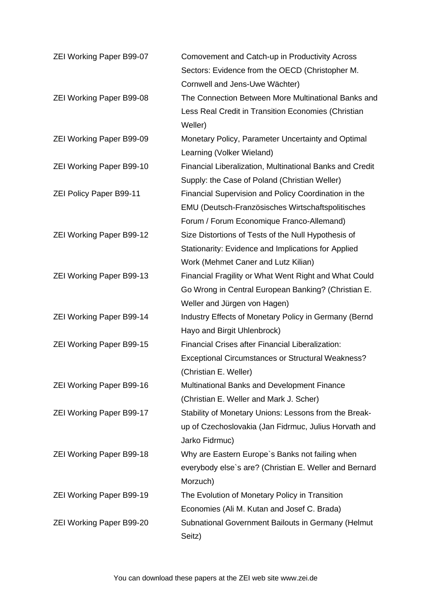| <b>ZEI Working Paper B99-07</b> | Comovement and Catch-up in Productivity Across           |
|---------------------------------|----------------------------------------------------------|
|                                 | Sectors: Evidence from the OECD (Christopher M.          |
|                                 | Cornwell and Jens-Uwe Wächter)                           |
| <b>ZEI Working Paper B99-08</b> | The Connection Between More Multinational Banks and      |
|                                 | Less Real Credit in Transition Economies (Christian      |
|                                 | Weller)                                                  |
| <b>ZEI Working Paper B99-09</b> | Monetary Policy, Parameter Uncertainty and Optimal       |
|                                 | Learning (Volker Wieland)                                |
| <b>ZEI Working Paper B99-10</b> | Financial Liberalization, Multinational Banks and Credit |
|                                 | Supply: the Case of Poland (Christian Weller)            |
| <b>ZEI Policy Paper B99-11</b>  | Financial Supervision and Policy Coordination in the     |
|                                 | EMU (Deutsch-Französisches Wirtschaftspolitisches        |
|                                 | Forum / Forum Economique Franco-Allemand)                |
| <b>ZEI Working Paper B99-12</b> | Size Distortions of Tests of the Null Hypothesis of      |
|                                 | Stationarity: Evidence and Implications for Applied      |
|                                 | Work (Mehmet Caner and Lutz Kilian)                      |
| <b>ZEI Working Paper B99-13</b> | Financial Fragility or What Went Right and What Could    |
|                                 | Go Wrong in Central European Banking? (Christian E.      |
|                                 | Weller and Jürgen von Hagen)                             |
| <b>ZEI Working Paper B99-14</b> | Industry Effects of Monetary Policy in Germany (Bernd    |
|                                 | Hayo and Birgit Uhlenbrock)                              |
| <b>ZEI Working Paper B99-15</b> | <b>Financial Crises after Financial Liberalization:</b>  |
|                                 | <b>Exceptional Circumstances or Structural Weakness?</b> |
|                                 | (Christian E. Weller)                                    |
| <b>ZEI Working Paper B99-16</b> | Multinational Banks and Development Finance              |
|                                 | (Christian E. Weller and Mark J. Scher)                  |
| <b>ZEI Working Paper B99-17</b> | Stability of Monetary Unions: Lessons from the Break-    |
|                                 | up of Czechoslovakia (Jan Fidrmuc, Julius Horvath and    |
|                                 | Jarko Fidrmuc)                                           |
| <b>ZEI Working Paper B99-18</b> | Why are Eastern Europe's Banks not failing when          |
|                                 | everybody else's are? (Christian E. Weller and Bernard   |
|                                 | Morzuch)                                                 |
| <b>ZEI Working Paper B99-19</b> | The Evolution of Monetary Policy in Transition           |
|                                 | Economies (Ali M. Kutan and Josef C. Brada)              |
| <b>ZEI Working Paper B99-20</b> | Subnational Government Bailouts in Germany (Helmut       |
|                                 | Seitz)                                                   |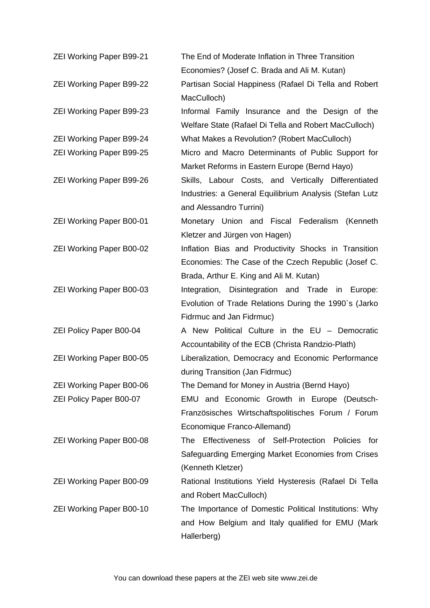| <b>ZEI Working Paper B99-21</b> | The End of Moderate Inflation in Three Transition       |
|---------------------------------|---------------------------------------------------------|
|                                 | Economies? (Josef C. Brada and Ali M. Kutan)            |
| <b>ZEI Working Paper B99-22</b> | Partisan Social Happiness (Rafael Di Tella and Robert   |
|                                 | MacCulloch)                                             |
| <b>ZEI Working Paper B99-23</b> | Informal Family Insurance and the Design of the         |
|                                 | Welfare State (Rafael Di Tella and Robert MacCulloch)   |
| <b>ZEI Working Paper B99-24</b> | What Makes a Revolution? (Robert MacCulloch)            |
| <b>ZEI Working Paper B99-25</b> | Micro and Macro Determinants of Public Support for      |
|                                 | Market Reforms in Eastern Europe (Bernd Hayo)           |
| <b>ZEI Working Paper B99-26</b> | Skills, Labour Costs, and Vertically Differentiated     |
|                                 | Industries: a General Equilibrium Analysis (Stefan Lutz |
|                                 | and Alessandro Turrini)                                 |
| <b>ZEI Working Paper B00-01</b> | Monetary Union and Fiscal Federalism (Kenneth           |
|                                 | Kletzer and Jürgen von Hagen)                           |
| <b>ZEI Working Paper B00-02</b> | Inflation Bias and Productivity Shocks in Transition    |
|                                 | Economies: The Case of the Czech Republic (Josef C.     |
|                                 | Brada, Arthur E. King and Ali M. Kutan)                 |
| <b>ZEI Working Paper B00-03</b> | Integration, Disintegration and Trade in Europe:        |
|                                 | Evolution of Trade Relations During the 1990's (Jarko   |
|                                 | Fidrmuc and Jan Fidrmuc)                                |
| <b>ZEI Policy Paper B00-04</b>  | A New Political Culture in the EU - Democratic          |
|                                 | Accountability of the ECB (Christa Randzio-Plath)       |
| <b>ZEI Working Paper B00-05</b> | Liberalization, Democracy and Economic Performance      |
|                                 | during Transition (Jan Fidrmuc)                         |
| <b>ZEI Working Paper B00-06</b> | The Demand for Money in Austria (Bernd Hayo)            |
| <b>ZEI Policy Paper B00-07</b>  | EMU and Economic Growth in Europe (Deutsch-             |
|                                 | Französisches Wirtschaftspolitisches Forum / Forum      |
|                                 | Economique Franco-Allemand)                             |
| <b>ZEI Working Paper B00-08</b> | The Effectiveness of Self-Protection Policies for       |
|                                 | Safeguarding Emerging Market Economies from Crises      |
|                                 | (Kenneth Kletzer)                                       |
| <b>ZEI Working Paper B00-09</b> | Rational Institutions Yield Hysteresis (Rafael Di Tella |
|                                 | and Robert MacCulloch)                                  |
| <b>ZEI Working Paper B00-10</b> | The Importance of Domestic Political Institutions: Why  |
|                                 | and How Belgium and Italy qualified for EMU (Mark       |
|                                 | Hallerberg)                                             |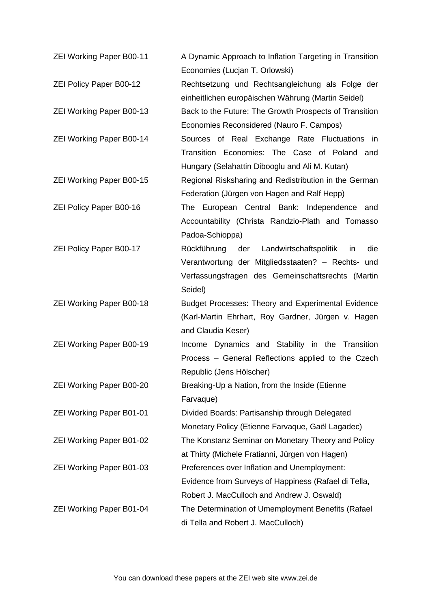| <b>ZEI Working Paper B00-11</b> | A Dynamic Approach to Inflation Targeting in Transition<br>Economies (Lucjan T. Orlowski)                                                                                |
|---------------------------------|--------------------------------------------------------------------------------------------------------------------------------------------------------------------------|
| <b>ZEI Policy Paper B00-12</b>  | Rechtsetzung und Rechtsangleichung als Folge der<br>einheitlichen europäischen Währung (Martin Seidel)                                                                   |
| <b>ZEI Working Paper B00-13</b> | Back to the Future: The Growth Prospects of Transition<br>Economies Reconsidered (Nauro F. Campos)                                                                       |
| <b>ZEI Working Paper B00-14</b> | Sources of Real Exchange Rate Fluctuations in<br>Transition Economies: The Case of Poland and<br>Hungary (Selahattin Dibooglu and Ali M. Kutan)                          |
| <b>ZEI Working Paper B00-15</b> | Regional Risksharing and Redistribution in the German<br>Federation (Jürgen von Hagen and Ralf Hepp)                                                                     |
| <b>ZEI Policy Paper B00-16</b>  | The European Central Bank: Independence and<br>Accountability (Christa Randzio-Plath and Tomasso<br>Padoa-Schioppa)                                                      |
| <b>ZEI Policy Paper B00-17</b>  | Rückführung der Landwirtschaftspolitik<br>in<br>die<br>Verantwortung der Mitgliedsstaaten? - Rechts- und<br>Verfassungsfragen des Gemeinschaftsrechts (Martin<br>Seidel) |
| <b>ZEI Working Paper B00-18</b> | Budget Processes: Theory and Experimental Evidence<br>(Karl-Martin Ehrhart, Roy Gardner, Jürgen v. Hagen<br>and Claudia Keser)                                           |
| <b>ZEI Working Paper B00-19</b> | Income Dynamics and Stability in the Transition<br>Process - General Reflections applied to the Czech<br>Republic (Jens Hölscher)                                        |
| <b>ZEI Working Paper B00-20</b> | Breaking-Up a Nation, from the Inside (Etienne<br>Farvaque)                                                                                                              |
| <b>ZEI Working Paper B01-01</b> | Divided Boards: Partisanship through Delegated<br>Monetary Policy (Etienne Farvaque, Gaël Lagadec)                                                                       |
| <b>ZEI Working Paper B01-02</b> | The Konstanz Seminar on Monetary Theory and Policy<br>at Thirty (Michele Fratianni, Jürgen von Hagen)                                                                    |
| ZEI Working Paper B01-03        | Preferences over Inflation and Unemployment:<br>Evidence from Surveys of Happiness (Rafael di Tella,<br>Robert J. MacCulloch and Andrew J. Oswald)                       |
| <b>ZEI Working Paper B01-04</b> | The Determination of Umemployment Benefits (Rafael<br>di Tella and Robert J. MacCulloch)                                                                                 |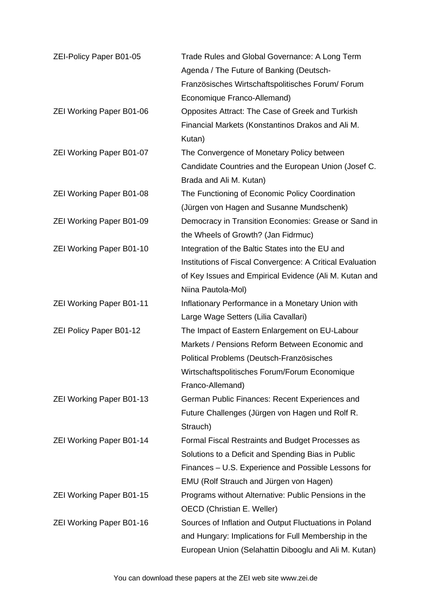| ZEI-Policy Paper B01-05         | Trade Rules and Global Governance: A Long Term            |
|---------------------------------|-----------------------------------------------------------|
|                                 | Agenda / The Future of Banking (Deutsch-                  |
|                                 | Französisches Wirtschaftspolitisches Forum/Forum          |
|                                 | Economique Franco-Allemand)                               |
| <b>ZEI Working Paper B01-06</b> | Opposites Attract: The Case of Greek and Turkish          |
|                                 | Financial Markets (Konstantinos Drakos and Ali M.         |
|                                 | Kutan)                                                    |
| <b>ZEI Working Paper B01-07</b> | The Convergence of Monetary Policy between                |
|                                 | Candidate Countries and the European Union (Josef C.      |
|                                 | Brada and Ali M. Kutan)                                   |
| <b>ZEI Working Paper B01-08</b> | The Functioning of Economic Policy Coordination           |
|                                 | (Jürgen von Hagen and Susanne Mundschenk)                 |
| <b>ZEI Working Paper B01-09</b> | Democracy in Transition Economies: Grease or Sand in      |
|                                 | the Wheels of Growth? (Jan Fidrmuc)                       |
| <b>ZEI Working Paper B01-10</b> | Integration of the Baltic States into the EU and          |
|                                 | Institutions of Fiscal Convergence: A Critical Evaluation |
|                                 | of Key Issues and Empirical Evidence (Ali M. Kutan and    |
|                                 | Niina Pautola-Mol)                                        |
| <b>ZEI Working Paper B01-11</b> | Inflationary Performance in a Monetary Union with         |
|                                 | Large Wage Setters (Lilia Cavallari)                      |
| <b>ZEI Policy Paper B01-12</b>  | The Impact of Eastern Enlargement on EU-Labour            |
|                                 | Markets / Pensions Reform Between Economic and            |
|                                 | Political Problems (Deutsch-Französisches                 |
|                                 | Wirtschaftspolitisches Forum/Forum Economique             |
|                                 | Franco-Allemand)                                          |
| <b>ZEI Working Paper B01-13</b> | German Public Finances: Recent Experiences and            |
|                                 | Future Challenges (Jürgen von Hagen und Rolf R.           |
|                                 | Strauch)                                                  |
| <b>ZEI Working Paper B01-14</b> | Formal Fiscal Restraints and Budget Processes as          |
|                                 | Solutions to a Deficit and Spending Bias in Public        |
|                                 | Finances – U.S. Experience and Possible Lessons for       |
|                                 | EMU (Rolf Strauch and Jürgen von Hagen)                   |
| <b>ZEI Working Paper B01-15</b> | Programs without Alternative: Public Pensions in the      |
|                                 | OECD (Christian E. Weller)                                |
| <b>ZEI Working Paper B01-16</b> | Sources of Inflation and Output Fluctuations in Poland    |
|                                 | and Hungary: Implications for Full Membership in the      |
|                                 | European Union (Selahattin Dibooglu and Ali M. Kutan)     |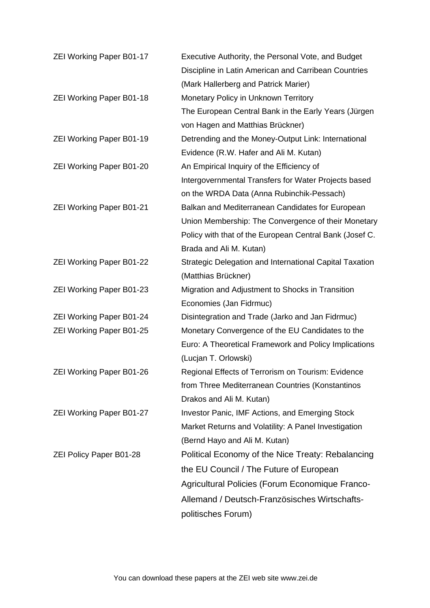| <b>ZEI Working Paper B01-17</b> | Executive Authority, the Personal Vote, and Budget      |
|---------------------------------|---------------------------------------------------------|
|                                 | Discipline in Latin American and Carribean Countries    |
|                                 | (Mark Hallerberg and Patrick Marier)                    |
| <b>ZEI Working Paper B01-18</b> | Monetary Policy in Unknown Territory                    |
|                                 | The European Central Bank in the Early Years (Jürgen    |
|                                 | von Hagen and Matthias Brückner)                        |
| <b>ZEI Working Paper B01-19</b> | Detrending and the Money-Output Link: International     |
|                                 | Evidence (R.W. Hafer and Ali M. Kutan)                  |
| <b>ZEI Working Paper B01-20</b> | An Empirical Inquiry of the Efficiency of               |
|                                 | Intergovernmental Transfers for Water Projects based    |
|                                 | on the WRDA Data (Anna Rubinchik-Pessach)               |
| <b>ZEI Working Paper B01-21</b> | Balkan and Mediterranean Candidates for European        |
|                                 | Union Membership: The Convergence of their Monetary     |
|                                 | Policy with that of the European Central Bank (Josef C. |
|                                 | Brada and Ali M. Kutan)                                 |
| <b>ZEI Working Paper B01-22</b> | Strategic Delegation and International Capital Taxation |
|                                 | (Matthias Brückner)                                     |
| <b>ZEI Working Paper B01-23</b> | Migration and Adjustment to Shocks in Transition        |
|                                 | Economies (Jan Fidrmuc)                                 |
| <b>ZEI Working Paper B01-24</b> | Disintegration and Trade (Jarko and Jan Fidrmuc)        |
| <b>ZEI Working Paper B01-25</b> | Monetary Convergence of the EU Candidates to the        |
|                                 | Euro: A Theoretical Framework and Policy Implications   |
|                                 | (Lucjan T. Orlowski)                                    |
| <b>ZEI Working Paper B01-26</b> | Regional Effects of Terrorism on Tourism: Evidence      |
|                                 | from Three Mediterranean Countries (Konstantinos        |
|                                 | Drakos and Ali M. Kutan)                                |
| <b>ZEI Working Paper B01-27</b> | <b>Investor Panic, IMF Actions, and Emerging Stock</b>  |
|                                 | Market Returns and Volatility: A Panel Investigation    |
|                                 | (Bernd Hayo and Ali M. Kutan)                           |
| <b>ZEI Policy Paper B01-28</b>  | Political Economy of the Nice Treaty: Rebalancing       |
|                                 | the EU Council / The Future of European                 |
|                                 | Agricultural Policies (Forum Economique Franco-         |
|                                 | Allemand / Deutsch-Französisches Wirtschafts-           |
|                                 | politisches Forum)                                      |
|                                 |                                                         |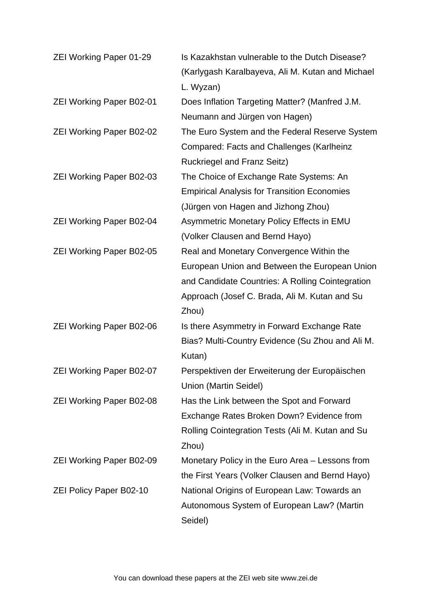| <b>ZEI Working Paper 01-29</b>  | Is Kazakhstan vulnerable to the Dutch Disease?     |
|---------------------------------|----------------------------------------------------|
|                                 | (Karlygash Karalbayeva, Ali M. Kutan and Michael   |
|                                 | L. Wyzan)                                          |
| <b>ZEI Working Paper B02-01</b> | Does Inflation Targeting Matter? (Manfred J.M.     |
|                                 | Neumann and Jürgen von Hagen)                      |
| <b>ZEI Working Paper B02-02</b> | The Euro System and the Federal Reserve System     |
|                                 | Compared: Facts and Challenges (Karlheinz          |
|                                 | <b>Ruckriegel and Franz Seitz)</b>                 |
| <b>ZEI Working Paper B02-03</b> | The Choice of Exchange Rate Systems: An            |
|                                 | <b>Empirical Analysis for Transition Economies</b> |
|                                 | (Jürgen von Hagen and Jizhong Zhou)                |
| <b>ZEI Working Paper B02-04</b> | Asymmetric Monetary Policy Effects in EMU          |
|                                 | (Volker Clausen and Bernd Hayo)                    |
| <b>ZEI Working Paper B02-05</b> | Real and Monetary Convergence Within the           |
|                                 | European Union and Between the European Union      |
|                                 | and Candidate Countries: A Rolling Cointegration   |
|                                 | Approach (Josef C. Brada, Ali M. Kutan and Su      |
|                                 | Zhou)                                              |
| <b>ZEI Working Paper B02-06</b> | Is there Asymmetry in Forward Exchange Rate        |
|                                 | Bias? Multi-Country Evidence (Su Zhou and Ali M.   |
|                                 | Kutan)                                             |
| <b>ZEI Working Paper B02-07</b> | Perspektiven der Erweiterung der Europäischen      |
|                                 | Union (Martin Seidel)                              |
| <b>ZEI Working Paper B02-08</b> | Has the Link between the Spot and Forward          |
|                                 | Exchange Rates Broken Down? Evidence from          |
|                                 | Rolling Cointegration Tests (Ali M. Kutan and Su   |
|                                 | Zhou)                                              |
| <b>ZEI Working Paper B02-09</b> | Monetary Policy in the Euro Area - Lessons from    |
|                                 | the First Years (Volker Clausen and Bernd Hayo)    |
| <b>ZEI Policy Paper B02-10</b>  | National Origins of European Law: Towards an       |
|                                 | Autonomous System of European Law? (Martin         |
|                                 | Seidel)                                            |